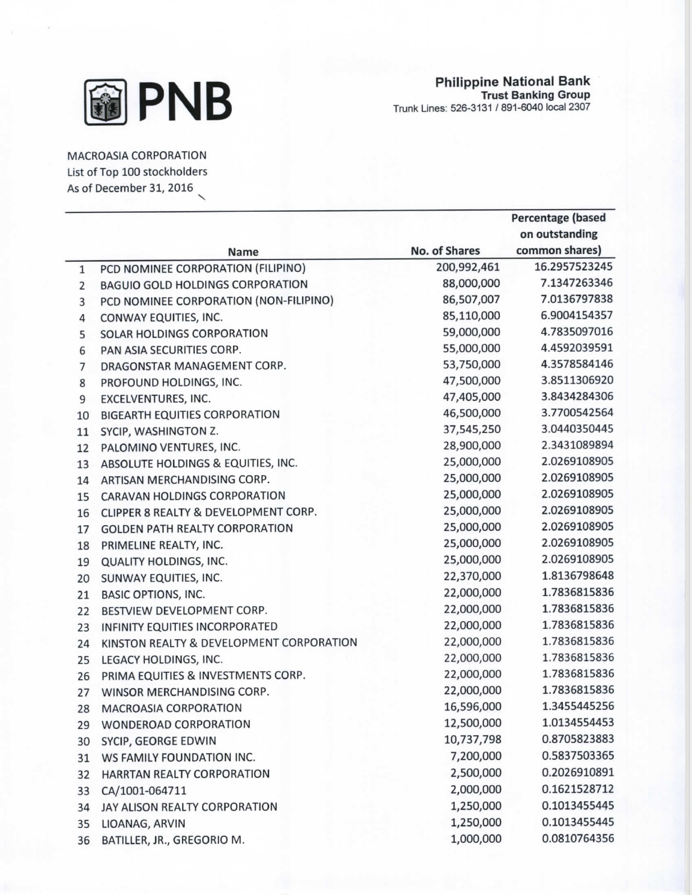

MACROASIA CORPORATION List of Top 100 stockholders As of December 31, 2016

|                |                                          |               | <b>Percentage (based</b> |
|----------------|------------------------------------------|---------------|--------------------------|
|                |                                          |               | on outstanding           |
|                | Name                                     | No. of Shares | common shares)           |
| $\mathbf 1$    | PCD NOMINEE CORPORATION (FILIPINO)       | 200,992,461   | 16.2957523245            |
| $\overline{2}$ | <b>BAGUIO GOLD HOLDINGS CORPORATION</b>  | 88,000,000    | 7.1347263346             |
| 3              | PCD NOMINEE CORPORATION (NON-FILIPINO)   | 86,507,007    | 7.0136797838             |
| 4              | CONWAY EQUITIES, INC.                    | 85,110,000    | 6.9004154357             |
| 5              | SOLAR HOLDINGS CORPORATION               | 59,000,000    | 4.7835097016             |
| 6              | PAN ASIA SECURITIES CORP.                | 55,000,000    | 4.4592039591             |
| 7              | DRAGONSTAR MANAGEMENT CORP.              | 53,750,000    | 4.3578584146             |
| 8              | PROFOUND HOLDINGS, INC.                  | 47,500,000    | 3.8511306920             |
| 9              | EXCELVENTURES, INC.                      | 47,405,000    | 3.8434284306             |
| 10             | <b>BIGEARTH EQUITIES CORPORATION</b>     | 46,500,000    | 3.7700542564             |
| 11             | SYCIP, WASHINGTON Z.                     | 37,545,250    | 3.0440350445             |
| 12             | PALOMINO VENTURES, INC.                  | 28,900,000    | 2.3431089894             |
| 13             | ABSOLUTE HOLDINGS & EQUITIES, INC.       | 25,000,000    | 2.0269108905             |
| 14             | ARTISAN MERCHANDISING CORP.              | 25,000,000    | 2.0269108905             |
| 15             | CARAVAN HOLDINGS CORPORATION             | 25,000,000    | 2.0269108905             |
| 16             | CLIPPER 8 REALTY & DEVELOPMENT CORP.     | 25,000,000    | 2.0269108905             |
| 17             | <b>GOLDEN PATH REALTY CORPORATION</b>    | 25,000,000    | 2.0269108905             |
| 18             | PRIMELINE REALTY, INC.                   | 25,000,000    | 2.0269108905             |
| 19             | <b>QUALITY HOLDINGS, INC.</b>            | 25,000,000    | 2.0269108905             |
| 20             | SUNWAY EQUITIES, INC.                    | 22,370,000    | 1.8136798648             |
| 21             | <b>BASIC OPTIONS, INC.</b>               | 22,000,000    | 1.7836815836             |
| 22             | BESTVIEW DEVELOPMENT CORP.               | 22,000,000    | 1.7836815836             |
| 23             | INFINITY EQUITIES INCORPORATED           | 22,000,000    | 1.7836815836             |
| 24             | KINSTON REALTY & DEVELOPMENT CORPORATION | 22,000,000    | 1.7836815836             |
| 25             | LEGACY HOLDINGS, INC.                    | 22,000,000    | 1.7836815836             |
| 26             | PRIMA EQUITIES & INVESTMENTS CORP.       | 22,000,000    | 1.7836815836             |
| 27             | WINSOR MERCHANDISING CORP.               | 22,000,000    | 1.7836815836             |
| 28             | <b>MACROASIA CORPORATION</b>             | 16,596,000    | 1.3455445256             |
| 29             | WONDEROAD CORPORATION                    | 12,500,000    | 1.0134554453             |
| 30             | SYCIP, GEORGE EDWIN                      | 10,737,798    | 0.8705823883             |
| 31             | WS FAMILY FOUNDATION INC.                | 7,200,000     | 0.5837503365             |
| 32             | HARRTAN REALTY CORPORATION               | 2,500,000     | 0.2026910891             |
| 33             | CA/1001-064711                           | 2,000,000     | 0.1621528712             |
| 34             | JAY ALISON REALTY CORPORATION            | 1,250,000     | 0.1013455445             |
| 35             | LIOANAG, ARVIN                           | 1,250,000     | 0.1013455445             |
| 36             | BATILLER, JR., GREGORIO M.               | 1,000,000     | 0.0810764356             |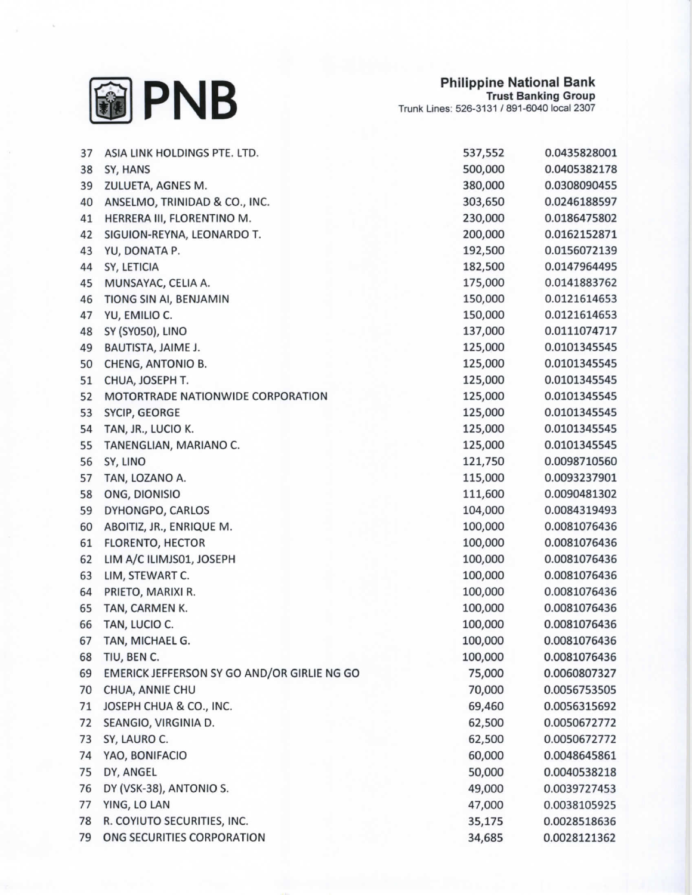

| 37 | ASIA LINK HOLDINGS PTE. LTD.                | 537,552 | 0.0435828001 |
|----|---------------------------------------------|---------|--------------|
| 38 | SY, HANS                                    | 500,000 | 0.0405382178 |
| 39 | ZULUETA, AGNES M.                           | 380,000 | 0.0308090455 |
| 40 | ANSELMO, TRINIDAD & CO., INC.               | 303,650 | 0.0246188597 |
| 41 | HERRERA III, FLORENTINO M.                  | 230,000 | 0.0186475802 |
| 42 | SIGUION-REYNA, LEONARDO T.                  | 200,000 | 0.0162152871 |
| 43 | YU, DONATA P.                               | 192,500 | 0.0156072139 |
| 44 | SY, LETICIA                                 | 182,500 | 0.0147964495 |
| 45 | MUNSAYAC, CELIA A.                          | 175,000 | 0.0141883762 |
| 46 | TIONG SIN AI, BENJAMIN                      | 150,000 | 0.0121614653 |
| 47 | YU, EMILIO C.                               | 150,000 | 0.0121614653 |
| 48 | SY (SY050), LINO                            | 137,000 | 0.0111074717 |
| 49 | BAUTISTA, JAIME J.                          | 125,000 | 0.0101345545 |
| 50 | CHENG, ANTONIO B.                           | 125,000 | 0.0101345545 |
| 51 | CHUA, JOSEPH T.                             | 125,000 | 0.0101345545 |
| 52 | MOTORTRADE NATIONWIDE CORPORATION           | 125,000 | 0.0101345545 |
| 53 | <b>SYCIP, GEORGE</b>                        | 125,000 | 0.0101345545 |
| 54 | TAN, JR., LUCIO K.                          | 125,000 | 0.0101345545 |
| 55 | TANENGLIAN, MARIANO C.                      | 125,000 | 0.0101345545 |
| 56 | SY, LINO                                    | 121,750 | 0.0098710560 |
| 57 | TAN, LOZANO A.                              | 115,000 | 0.0093237901 |
| 58 | ONG, DIONISIO                               | 111,600 | 0.0090481302 |
| 59 | DYHONGPO, CARLOS                            | 104,000 | 0.0084319493 |
| 60 | ABOITIZ, JR., ENRIQUE M.                    | 100,000 | 0.0081076436 |
| 61 | <b>FLORENTO, HECTOR</b>                     | 100,000 | 0.0081076436 |
| 62 | LIM A/C ILIMJS01, JOSEPH                    | 100,000 | 0.0081076436 |
| 63 | LIM, STEWART C.                             | 100,000 | 0.0081076436 |
| 64 | PRIETO, MARIXI R.                           | 100,000 | 0.0081076436 |
| 65 | TAN, CARMEN K.                              | 100,000 | 0.0081076436 |
| 66 | TAN, LUCIO C.                               | 100,000 | 0.0081076436 |
| 67 | TAN, MICHAEL G.                             | 100,000 | 0.0081076436 |
| 68 | TIU, BEN C.                                 | 100,000 | 0.0081076436 |
| 69 | EMERICK JEFFERSON SY GO AND/OR GIRLIE NG GO | 75,000  | 0.0060807327 |
| 70 | CHUA, ANNIE CHU                             | 70,000  | 0.0056753505 |
| 71 | JOSEPH CHUA & CO., INC.                     | 69,460  | 0.0056315692 |
| 72 | SEANGIO, VIRGINIA D.                        | 62,500  | 0.0050672772 |
| 73 | SY, LAURO C.                                | 62,500  | 0.0050672772 |
| 74 | YAO, BONIFACIO                              | 60,000  | 0.0048645861 |
| 75 | DY, ANGEL                                   | 50,000  | 0.0040538218 |
| 76 | DY (VSK-38), ANTONIO S.                     | 49,000  | 0.0039727453 |
| 77 | YING, LO LAN                                | 47,000  | 0.0038105925 |
| 78 | R. COYIUTO SECURITIES, INC.                 | 35,175  | 0.0028518636 |
| 79 | ONG SECURITIES CORPORATION                  | 34.685  | 0.0028121362 |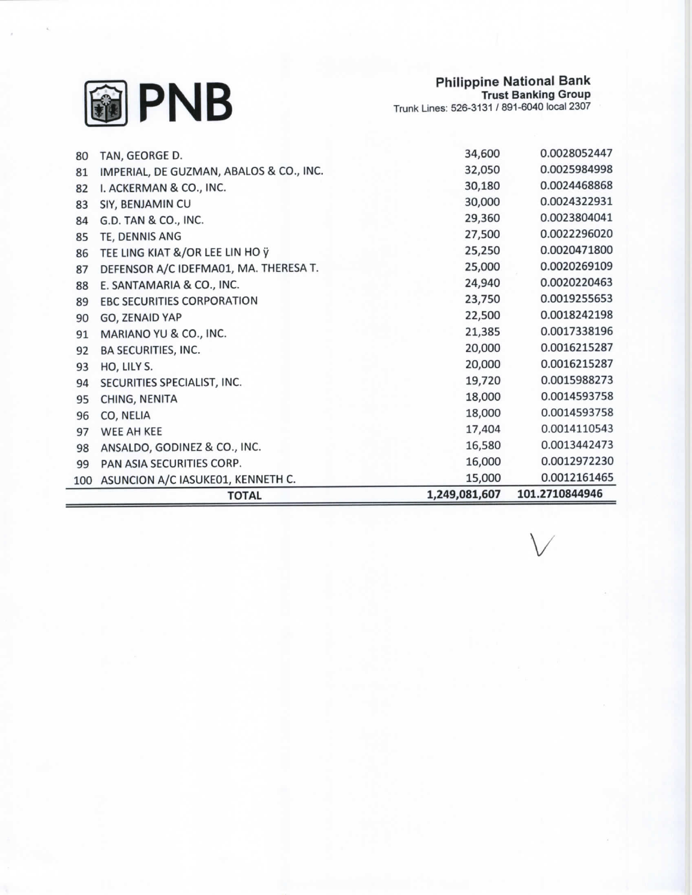

| WEE AH KEE<br>ANSALDO, GODINEZ & CO., INC.<br>PAN ASIA SECURITIES CORP.<br>ASUNCION A/C IASUKE01, KENNETH C. | 18,000<br>17,404<br>16,580<br>16,000<br>15,000                                                                                                                                                                                                                      | 0.0014593758<br>0.0014110543<br>0.0013442473<br>0.0012972230<br>0.0012161465<br>101.2710844946 |
|--------------------------------------------------------------------------------------------------------------|---------------------------------------------------------------------------------------------------------------------------------------------------------------------------------------------------------------------------------------------------------------------|------------------------------------------------------------------------------------------------|
|                                                                                                              |                                                                                                                                                                                                                                                                     |                                                                                                |
|                                                                                                              |                                                                                                                                                                                                                                                                     |                                                                                                |
|                                                                                                              |                                                                                                                                                                                                                                                                     |                                                                                                |
|                                                                                                              |                                                                                                                                                                                                                                                                     |                                                                                                |
| CO, NELIA                                                                                                    |                                                                                                                                                                                                                                                                     |                                                                                                |
| CHING, NENITA                                                                                                | 18,000                                                                                                                                                                                                                                                              | 0.0014593758                                                                                   |
| SECURITIES SPECIALIST, INC.                                                                                  | 19,720                                                                                                                                                                                                                                                              | 0.0015988273                                                                                   |
| HO, LILY S.                                                                                                  | 20,000                                                                                                                                                                                                                                                              | 0.0016215287                                                                                   |
| <b>BA SECURITIES, INC.</b>                                                                                   | 20,000                                                                                                                                                                                                                                                              | 0.0016215287                                                                                   |
| MARIANO YU & CO., INC.                                                                                       | 21,385                                                                                                                                                                                                                                                              | 0.0017338196                                                                                   |
| GO, ZENAID YAP                                                                                               | 22,500                                                                                                                                                                                                                                                              | 0.0018242198                                                                                   |
|                                                                                                              | 23,750                                                                                                                                                                                                                                                              | 0.0019255653                                                                                   |
| E. SANTAMARIA & CO., INC.                                                                                    | 24,940                                                                                                                                                                                                                                                              | 0.0020220463                                                                                   |
|                                                                                                              | 25,000                                                                                                                                                                                                                                                              | 0.0020269109                                                                                   |
|                                                                                                              | 25,250                                                                                                                                                                                                                                                              | 0.0020471800                                                                                   |
|                                                                                                              | 27,500                                                                                                                                                                                                                                                              | 0.0022296020                                                                                   |
|                                                                                                              | 29,360                                                                                                                                                                                                                                                              | 0.0023804041                                                                                   |
|                                                                                                              | 30,000                                                                                                                                                                                                                                                              | 0.0024322931                                                                                   |
|                                                                                                              | 30,180                                                                                                                                                                                                                                                              | 0.0024468868                                                                                   |
|                                                                                                              | 32,050                                                                                                                                                                                                                                                              | 0.0025984998                                                                                   |
|                                                                                                              | 34,600                                                                                                                                                                                                                                                              | 0.0028052447                                                                                   |
|                                                                                                              | TAN, GEORGE D.<br>IMPERIAL, DE GUZMAN, ABALOS & CO., INC.<br>I. ACKERMAN & CO., INC.<br>SIY, BENJAMIN CU<br>G.D. TAN & CO., INC.<br>TE, DENNIS ANG<br>TEE LING KIAT &/OR LEE LIN HO ÿ<br>DEFENSOR A/C IDEFMA01, MA. THERESA T.<br><b>EBC SECURITIES CORPORATION</b> |                                                                                                |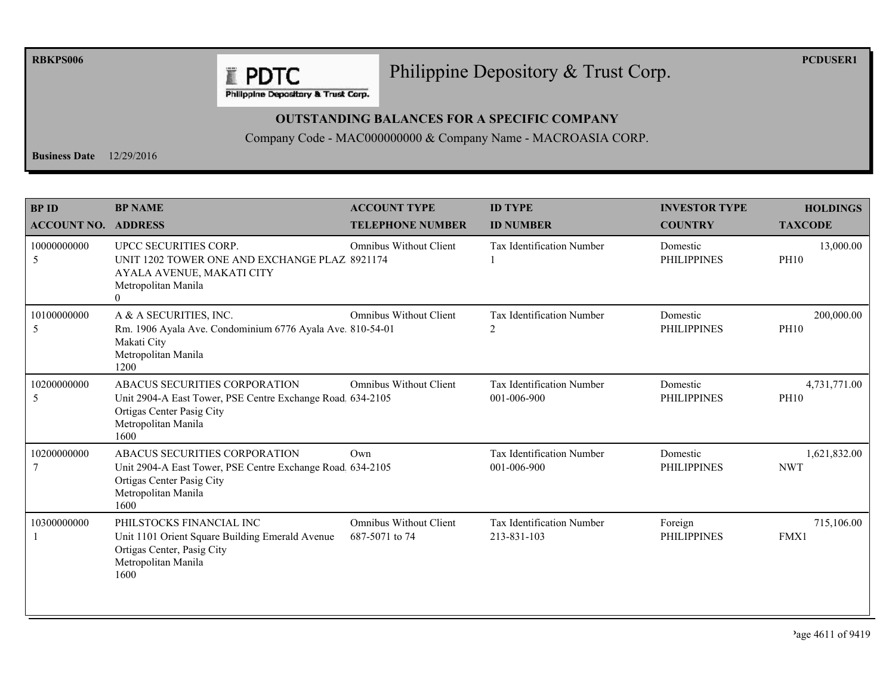**RBKPS006** 

Philippine Depository & Trust Corp.

**PCDUSER1** 

**E PDTC** Philippine Depository & Trust Corp.

## **OUTSTANDING BALANCES FOR A SPECIFIC COMPANY**

Company Code - MAC000000000 & Company Name - MACROASIA CORP.

**Business Date**  $12/29/2016$ 

| <b>BPID</b><br><b>ACCOUNT NO. ADDRESS</b> | <b>BP NAME</b>                                                                                                                                         | <b>ACCOUNT TYPE</b><br><b>TELEPHONE NUMBER</b>  | <b>ID TYPE</b><br><b>ID NUMBER</b>       | <b>INVESTOR TYPE</b><br><b>COUNTRY</b> | <b>HOLDINGS</b><br><b>TAXCODE</b> |
|-------------------------------------------|--------------------------------------------------------------------------------------------------------------------------------------------------------|-------------------------------------------------|------------------------------------------|----------------------------------------|-----------------------------------|
| 10000000000<br>5                          | UPCC SECURITIES CORP.<br>UNIT 1202 TOWER ONE AND EXCHANGE PLAZ 8921174<br>AYALA AVENUE, MAKATI CITY<br>Metropolitan Manila<br>$\theta$                 | <b>Omnibus Without Client</b>                   | <b>Tax Identification Number</b>         | Domestic<br><b>PHILIPPINES</b>         | 13,000.00<br><b>PH10</b>          |
| 10100000000<br>5                          | A & A SECURITIES, INC.<br>Rm. 1906 Ayala Ave. Condominium 6776 Ayala Ave. 810-54-01<br>Makati City<br>Metropolitan Manila<br>1200                      | <b>Omnibus Without Client</b>                   | Tax Identification Number<br>2           | Domestic<br><b>PHILIPPINES</b>         | 200,000.00<br><b>PH10</b>         |
| 10200000000<br>5                          | ABACUS SECURITIES CORPORATION<br>Unit 2904-A East Tower, PSE Centre Exchange Road 634-2105<br>Ortigas Center Pasig City<br>Metropolitan Manila<br>1600 | <b>Omnibus Without Client</b>                   | Tax Identification Number<br>001-006-900 | Domestic<br><b>PHILIPPINES</b>         | 4,731,771.00<br><b>PH10</b>       |
| 10200000000                               | ABACUS SECURITIES CORPORATION<br>Unit 2904-A East Tower, PSE Centre Exchange Road 634-2105<br>Ortigas Center Pasig City<br>Metropolitan Manila<br>1600 | Own                                             | Tax Identification Number<br>001-006-900 | Domestic<br><b>PHILIPPINES</b>         | 1,621,832.00<br><b>NWT</b>        |
| 10300000000                               | PHILSTOCKS FINANCIAL INC<br>Unit 1101 Orient Square Building Emerald Avenue<br>Ortigas Center, Pasig City<br>Metropolitan Manila<br>1600               | <b>Omnibus Without Client</b><br>687-5071 to 74 | Tax Identification Number<br>213-831-103 | Foreign<br><b>PHILIPPINES</b>          | 715,106.00<br>FMX1                |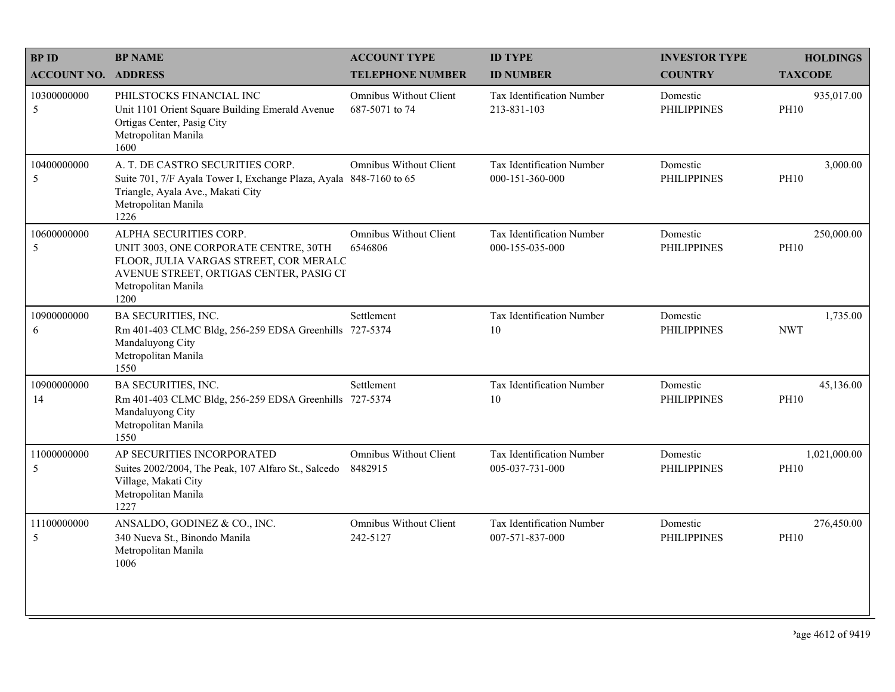| <b>BPID</b>                | <b>BP NAME</b>                                                                                                                                                                      | <b>ACCOUNT TYPE</b>                       | <b>ID TYPE</b>                               | <b>INVESTOR TYPE</b>           | <b>HOLDINGS</b>             |
|----------------------------|-------------------------------------------------------------------------------------------------------------------------------------------------------------------------------------|-------------------------------------------|----------------------------------------------|--------------------------------|-----------------------------|
| <b>ACCOUNT NO. ADDRESS</b> |                                                                                                                                                                                     | <b>TELEPHONE NUMBER</b>                   | <b>ID NUMBER</b>                             | <b>COUNTRY</b>                 | <b>TAXCODE</b>              |
| 10300000000<br>5           | PHILSTOCKS FINANCIAL INC<br>Unit 1101 Orient Square Building Emerald Avenue<br>Ortigas Center, Pasig City<br>Metropolitan Manila<br>1600                                            | Omnibus Without Client<br>687-5071 to 74  | Tax Identification Number<br>213-831-103     | Domestic<br><b>PHILIPPINES</b> | 935,017.00<br><b>PH10</b>   |
| 10400000000<br>5           | A. T. DE CASTRO SECURITIES CORP.<br>Suite 701, 7/F Ayala Tower I, Exchange Plaza, Ayala 848-7160 to 65<br>Triangle, Ayala Ave., Makati City<br>Metropolitan Manila<br>1226          | <b>Omnibus Without Client</b>             | Tax Identification Number<br>000-151-360-000 | Domestic<br><b>PHILIPPINES</b> | 3,000.00<br><b>PH10</b>     |
| 10600000000<br>5           | ALPHA SECURITIES CORP.<br>UNIT 3003, ONE CORPORATE CENTRE, 30TH<br>FLOOR, JULIA VARGAS STREET, COR MERALC<br>AVENUE STREET, ORTIGAS CENTER, PASIG CI<br>Metropolitan Manila<br>1200 | <b>Omnibus Without Client</b><br>6546806  | Tax Identification Number<br>000-155-035-000 | Domestic<br><b>PHILIPPINES</b> | 250,000.00<br><b>PH10</b>   |
| 10900000000<br>6           | <b>BA SECURITIES, INC.</b><br>Rm 401-403 CLMC Bldg, 256-259 EDSA Greenhills 727-5374<br>Mandaluyong City<br>Metropolitan Manila<br>1550                                             | Settlement                                | Tax Identification Number<br>10              | Domestic<br><b>PHILIPPINES</b> | 1,735.00<br><b>NWT</b>      |
| 10900000000<br>14          | <b>BA SECURITIES, INC.</b><br>Rm 401-403 CLMC Bldg, 256-259 EDSA Greenhills<br>Mandaluyong City<br>Metropolitan Manila<br>1550                                                      | Settlement<br>727-5374                    | Tax Identification Number<br>10              | Domestic<br><b>PHILIPPINES</b> | 45,136.00<br><b>PH10</b>    |
| 11000000000<br>5           | AP SECURITIES INCORPORATED<br>Suites 2002/2004, The Peak, 107 Alfaro St., Salcedo<br>Village, Makati City<br>Metropolitan Manila<br>1227                                            | Omnibus Without Client<br>8482915         | Tax Identification Number<br>005-037-731-000 | Domestic<br><b>PHILIPPINES</b> | 1,021,000.00<br><b>PH10</b> |
| 11100000000<br>5           | ANSALDO, GODINEZ & CO., INC.<br>340 Nueva St., Binondo Manila<br>Metropolitan Manila<br>1006                                                                                        | <b>Omnibus Without Client</b><br>242-5127 | Tax Identification Number<br>007-571-837-000 | Domestic<br><b>PHILIPPINES</b> | 276,450.00<br><b>PH10</b>   |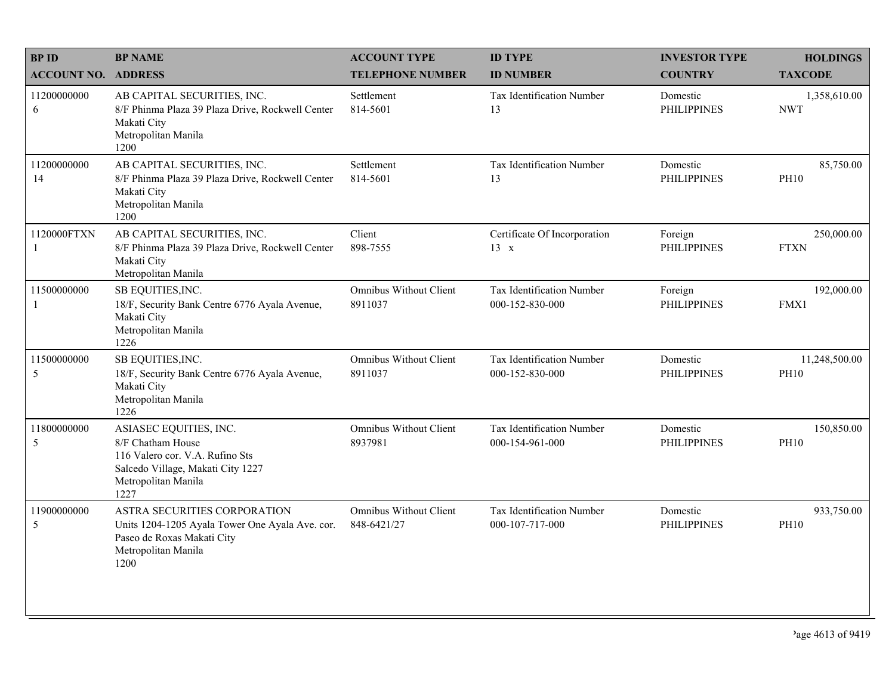| <b>BPID</b>                | <b>BP NAME</b>                                                                                                                                     | <b>ACCOUNT TYPE</b>                      | <b>ID TYPE</b>                               | <b>INVESTOR TYPE</b>           | <b>HOLDINGS</b>              |
|----------------------------|----------------------------------------------------------------------------------------------------------------------------------------------------|------------------------------------------|----------------------------------------------|--------------------------------|------------------------------|
| <b>ACCOUNT NO. ADDRESS</b> |                                                                                                                                                    | <b>TELEPHONE NUMBER</b>                  | <b>ID NUMBER</b>                             | <b>COUNTRY</b>                 | <b>TAXCODE</b>               |
| 11200000000<br>6           | AB CAPITAL SECURITIES, INC.<br>8/F Phinma Plaza 39 Plaza Drive, Rockwell Center<br>Makati City<br>Metropolitan Manila<br>1200                      | Settlement<br>814-5601                   | <b>Tax Identification Number</b><br>13       | Domestic<br><b>PHILIPPINES</b> | 1,358,610.00<br><b>NWT</b>   |
| 11200000000<br>14          | AB CAPITAL SECURITIES, INC.<br>8/F Phinma Plaza 39 Plaza Drive, Rockwell Center<br>Makati City<br>Metropolitan Manila<br>1200                      | Settlement<br>814-5601                   | Tax Identification Number<br>13              | Domestic<br><b>PHILIPPINES</b> | 85,750.00<br><b>PH10</b>     |
| 1120000FTXN<br>-1          | AB CAPITAL SECURITIES, INC.<br>8/F Phinma Plaza 39 Plaza Drive, Rockwell Center<br>Makati City<br>Metropolitan Manila                              | Client<br>898-7555                       | Certificate Of Incorporation<br>13 x         | Foreign<br><b>PHILIPPINES</b>  | 250,000.00<br><b>FTXN</b>    |
| 11500000000<br>1           | SB EQUITIES, INC.<br>18/F, Security Bank Centre 6776 Ayala Avenue,<br>Makati City<br>Metropolitan Manila<br>1226                                   | <b>Omnibus Without Client</b><br>8911037 | Tax Identification Number<br>000-152-830-000 | Foreign<br><b>PHILIPPINES</b>  | 192,000.00<br>FMX1           |
| 11500000000<br>5           | SB EQUITIES, INC.<br>18/F, Security Bank Centre 6776 Ayala Avenue,<br>Makati City<br>Metropolitan Manila<br>1226                                   | <b>Omnibus Without Client</b><br>8911037 | Tax Identification Number<br>000-152-830-000 | Domestic<br><b>PHILIPPINES</b> | 11,248,500.00<br><b>PH10</b> |
| 11800000000<br>$\sqrt{5}$  | ASIASEC EQUITIES, INC.<br>8/F Chatham House<br>116 Valero cor. V.A. Rufino Sts<br>Salcedo Village, Makati City 1227<br>Metropolitan Manila<br>1227 | <b>Omnibus Without Client</b><br>8937981 | Tax Identification Number<br>000-154-961-000 | Domestic<br><b>PHILIPPINES</b> | 150,850.00<br><b>PH10</b>    |
| 11900000000<br>5           | ASTRA SECURITIES CORPORATION<br>Units 1204-1205 Ayala Tower One Ayala Ave. cor.<br>Paseo de Roxas Makati City<br>Metropolitan Manila<br>1200       | Omnibus Without Client<br>848-6421/27    | Tax Identification Number<br>000-107-717-000 | Domestic<br><b>PHILIPPINES</b> | 933,750.00<br><b>PH10</b>    |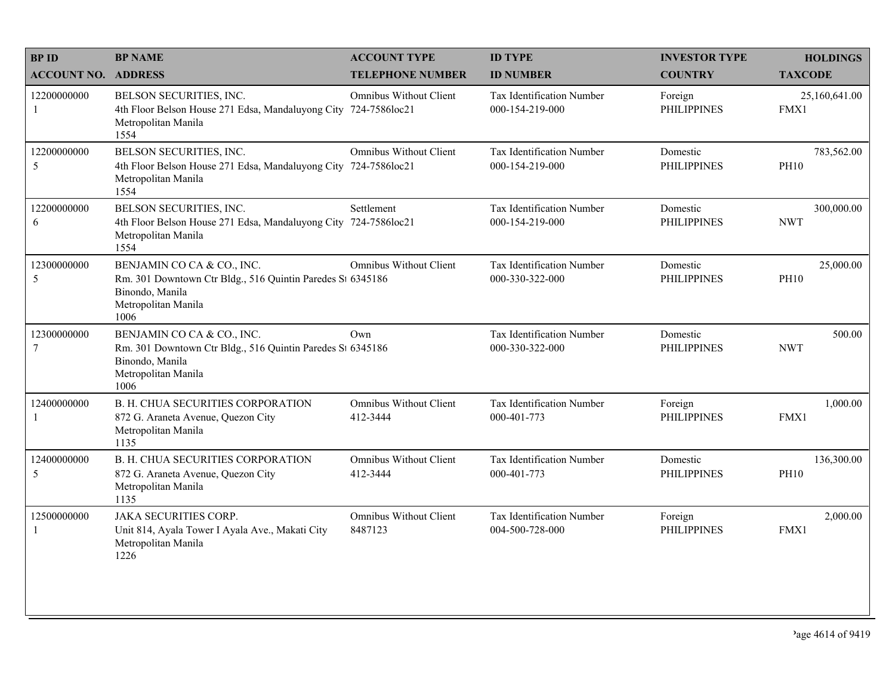| <b>BPID</b>                 | <b>BP NAME</b>                                                                                                                             | <b>ACCOUNT TYPE</b>                            | <b>ID TYPE</b>                                      | <b>INVESTOR TYPE</b>           | <b>HOLDINGS</b>           |
|-----------------------------|--------------------------------------------------------------------------------------------------------------------------------------------|------------------------------------------------|-----------------------------------------------------|--------------------------------|---------------------------|
| <b>ACCOUNT NO. ADDRESS</b>  |                                                                                                                                            | <b>TELEPHONE NUMBER</b>                        | <b>ID NUMBER</b>                                    | <b>COUNTRY</b>                 | <b>TAXCODE</b>            |
| 12200000000<br>$\mathbf{1}$ | BELSON SECURITIES, INC.<br>4th Floor Belson House 271 Edsa, Mandaluyong City<br>Metropolitan Manila<br>1554                                | <b>Omnibus Without Client</b><br>724-7586loc21 | <b>Tax Identification Number</b><br>000-154-219-000 | Foreign<br><b>PHILIPPINES</b>  | 25,160,641.00<br>FMX1     |
| 12200000000<br>5            | BELSON SECURITIES, INC.<br>4th Floor Belson House 271 Edsa, Mandaluyong City 724-7586loc21<br>Metropolitan Manila<br>1554                  | <b>Omnibus Without Client</b>                  | Tax Identification Number<br>000-154-219-000        | Domestic<br><b>PHILIPPINES</b> | 783,562.00<br><b>PH10</b> |
| 12200000000<br>6            | BELSON SECURITIES, INC.<br>4th Floor Belson House 271 Edsa, Mandaluyong City 724-7586loc21<br>Metropolitan Manila<br>1554                  | Settlement                                     | Tax Identification Number<br>000-154-219-000        | Domestic<br><b>PHILIPPINES</b> | 300,000.00<br><b>NWT</b>  |
| 12300000000<br>5            | BENJAMIN CO CA & CO., INC.<br>Rm. 301 Downtown Ctr Bldg., 516 Quintin Paredes St 6345186<br>Binondo, Manila<br>Metropolitan Manila<br>1006 | <b>Omnibus Without Client</b>                  | Tax Identification Number<br>000-330-322-000        | Domestic<br><b>PHILIPPINES</b> | 25,000.00<br><b>PH10</b>  |
| 12300000000<br>$\tau$       | BENJAMIN CO CA & CO., INC.<br>Rm. 301 Downtown Ctr Bldg., 516 Quintin Paredes St 6345186<br>Binondo, Manila<br>Metropolitan Manila<br>1006 | Own                                            | Tax Identification Number<br>000-330-322-000        | Domestic<br><b>PHILIPPINES</b> | 500.00<br><b>NWT</b>      |
| 12400000000<br>$\mathbf{1}$ | <b>B. H. CHUA SECURITIES CORPORATION</b><br>872 G. Araneta Avenue, Quezon City<br>Metropolitan Manila<br>1135                              | Omnibus Without Client<br>412-3444             | Tax Identification Number<br>000-401-773            | Foreign<br><b>PHILIPPINES</b>  | 1,000.00<br>FMX1          |
| 12400000000<br>5            | <b>B. H. CHUA SECURITIES CORPORATION</b><br>872 G. Araneta Avenue, Quezon City<br>Metropolitan Manila<br>1135                              | <b>Omnibus Without Client</b><br>412-3444      | Tax Identification Number<br>000-401-773            | Domestic<br><b>PHILIPPINES</b> | 136,300.00<br><b>PH10</b> |
| 12500000000<br>$\mathbf{1}$ | <b>JAKA SECURITIES CORP.</b><br>Unit 814, Ayala Tower I Ayala Ave., Makati City<br>Metropolitan Manila<br>1226                             | <b>Omnibus Without Client</b><br>8487123       | Tax Identification Number<br>004-500-728-000        | Foreign<br><b>PHILIPPINES</b>  | 2,000.00<br>FMX1          |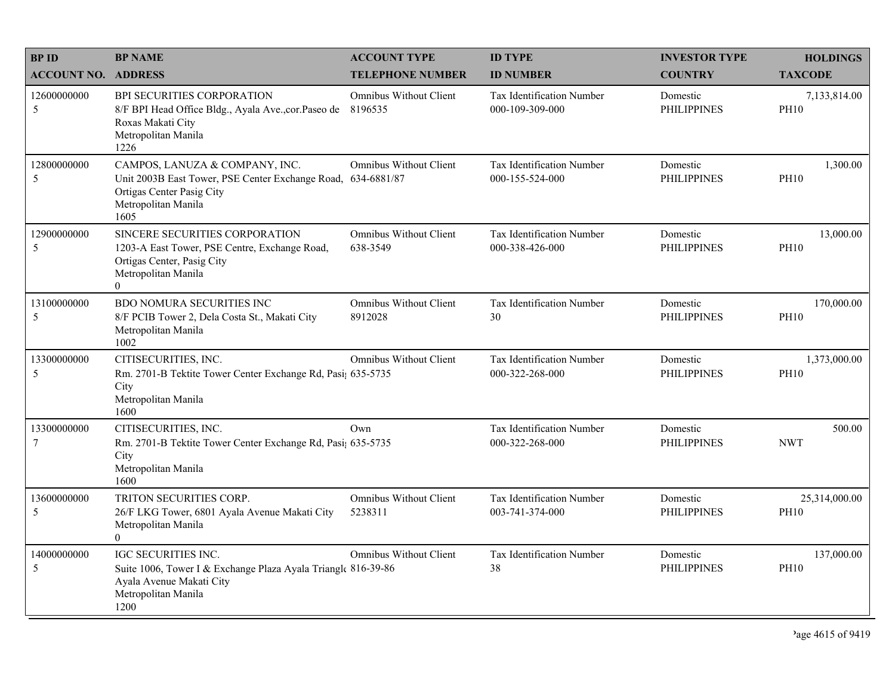| <b>BPID</b>                | <b>BP NAME</b>                                                                                                                                             | <b>ACCOUNT TYPE</b>                      | <b>ID TYPE</b>                                      | <b>INVESTOR TYPE</b>           | <b>HOLDINGS</b>              |
|----------------------------|------------------------------------------------------------------------------------------------------------------------------------------------------------|------------------------------------------|-----------------------------------------------------|--------------------------------|------------------------------|
| <b>ACCOUNT NO. ADDRESS</b> |                                                                                                                                                            | <b>TELEPHONE NUMBER</b>                  | <b>ID NUMBER</b>                                    | <b>COUNTRY</b>                 | <b>TAXCODE</b>               |
| 12600000000<br>5           | BPI SECURITIES CORPORATION<br>8/F BPI Head Office Bldg., Ayala Ave., cor. Paseo de<br>Roxas Makati City<br>Metropolitan Manila<br>1226                     | Omnibus Without Client<br>8196535        | Tax Identification Number<br>000-109-309-000        | Domestic<br><b>PHILIPPINES</b> | 7,133,814.00<br><b>PH10</b>  |
| 12800000000<br>5           | CAMPOS, LANUZA & COMPANY, INC.<br>Unit 2003B East Tower, PSE Center Exchange Road, 634-6881/87<br>Ortigas Center Pasig City<br>Metropolitan Manila<br>1605 | <b>Omnibus Without Client</b>            | Tax Identification Number<br>000-155-524-000        | Domestic<br><b>PHILIPPINES</b> | 1,300.00<br><b>PH10</b>      |
| 12900000000<br>5           | SINCERE SECURITIES CORPORATION<br>1203-A East Tower, PSE Centre, Exchange Road,<br>Ortigas Center, Pasig City<br>Metropolitan Manila<br>$\overline{0}$     | Omnibus Without Client<br>638-3549       | <b>Tax Identification Number</b><br>000-338-426-000 | Domestic<br><b>PHILIPPINES</b> | 13,000.00<br><b>PH10</b>     |
| 13100000000<br>5           | <b>BDO NOMURA SECURITIES INC</b><br>8/F PCIB Tower 2, Dela Costa St., Makati City<br>Metropolitan Manila<br>1002                                           | <b>Omnibus Without Client</b><br>8912028 | Tax Identification Number<br>30                     | Domestic<br><b>PHILIPPINES</b> | 170,000.00<br><b>PH10</b>    |
| 13300000000<br>5           | CITISECURITIES, INC.<br>Rm. 2701-B Tektite Tower Center Exchange Rd, Pasi; 635-5735<br>City<br>Metropolitan Manila<br>1600                                 | Omnibus Without Client                   | Tax Identification Number<br>000-322-268-000        | Domestic<br><b>PHILIPPINES</b> | 1,373,000.00<br><b>PH10</b>  |
| 13300000000<br>$\tau$      | CITISECURITIES, INC.<br>Rm. 2701-B Tektite Tower Center Exchange Rd, Pasi; 635-5735<br>City<br>Metropolitan Manila<br>1600                                 | Own                                      | Tax Identification Number<br>000-322-268-000        | Domestic<br><b>PHILIPPINES</b> | 500.00<br><b>NWT</b>         |
| 13600000000<br>5           | TRITON SECURITIES CORP.<br>26/F LKG Tower, 6801 Ayala Avenue Makati City<br>Metropolitan Manila<br>$\theta$                                                | <b>Omnibus Without Client</b><br>5238311 | Tax Identification Number<br>003-741-374-000        | Domestic<br><b>PHILIPPINES</b> | 25,314,000.00<br><b>PH10</b> |
| 14000000000<br>5           | IGC SECURITIES INC.<br>Suite 1006, Tower I & Exchange Plaza Ayala Triangle 816-39-86<br>Ayala Avenue Makati City<br>Metropolitan Manila<br>1200            | <b>Omnibus Without Client</b>            | Tax Identification Number<br>38                     | Domestic<br><b>PHILIPPINES</b> | 137,000.00<br><b>PH10</b>    |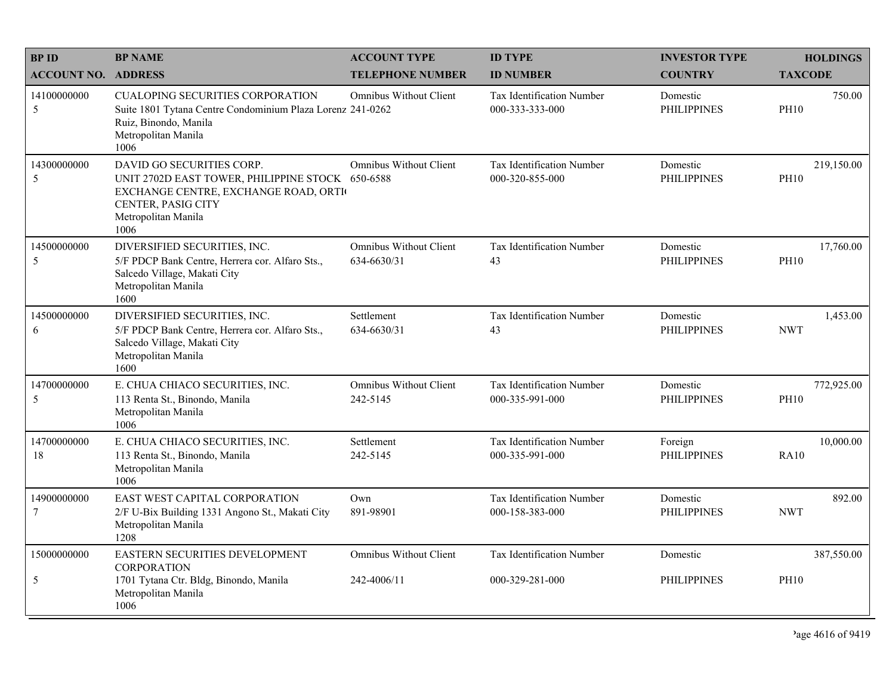| <b>BPID</b>                | <b>BP NAME</b>                                                                                                                                                             | <b>ACCOUNT TYPE</b>                          | <b>ID TYPE</b>                                      | <b>INVESTOR TYPE</b>           | <b>HOLDINGS</b>           |
|----------------------------|----------------------------------------------------------------------------------------------------------------------------------------------------------------------------|----------------------------------------------|-----------------------------------------------------|--------------------------------|---------------------------|
| <b>ACCOUNT NO. ADDRESS</b> |                                                                                                                                                                            | <b>TELEPHONE NUMBER</b>                      | <b>ID NUMBER</b>                                    | <b>COUNTRY</b>                 | <b>TAXCODE</b>            |
| 14100000000<br>5           | <b>CUALOPING SECURITIES CORPORATION</b><br>Suite 1801 Tytana Centre Condominium Plaza Lorenz 241-0262<br>Ruiz, Binondo, Manila<br>Metropolitan Manila<br>1006              | <b>Omnibus Without Client</b>                | <b>Tax Identification Number</b><br>000-333-333-000 | Domestic<br><b>PHILIPPINES</b> | 750.00<br><b>PH10</b>     |
| 14300000000<br>5           | DAVID GO SECURITIES CORP.<br>UNIT 2702D EAST TOWER, PHILIPPINE STOCK 650-6588<br>EXCHANGE CENTRE, EXCHANGE ROAD, ORTI<br>CENTER, PASIG CITY<br>Metropolitan Manila<br>1006 | <b>Omnibus Without Client</b>                | Tax Identification Number<br>000-320-855-000        | Domestic<br><b>PHILIPPINES</b> | 219,150.00<br><b>PH10</b> |
| 14500000000<br>5           | DIVERSIFIED SECURITIES, INC.<br>5/F PDCP Bank Centre, Herrera cor. Alfaro Sts.,<br>Salcedo Village, Makati City<br>Metropolitan Manila<br>1600                             | <b>Omnibus Without Client</b><br>634-6630/31 | Tax Identification Number<br>43                     | Domestic<br><b>PHILIPPINES</b> | 17,760.00<br><b>PH10</b>  |
| 14500000000<br>6           | DIVERSIFIED SECURITIES, INC.<br>5/F PDCP Bank Centre, Herrera cor. Alfaro Sts.,<br>Salcedo Village, Makati City<br>Metropolitan Manila<br>1600                             | Settlement<br>634-6630/31                    | Tax Identification Number<br>43                     | Domestic<br><b>PHILIPPINES</b> | 1,453.00<br><b>NWT</b>    |
| 14700000000<br>5           | E. CHUA CHIACO SECURITIES, INC.<br>113 Renta St., Binondo, Manila<br>Metropolitan Manila<br>1006                                                                           | <b>Omnibus Without Client</b><br>242-5145    | <b>Tax Identification Number</b><br>000-335-991-000 | Domestic<br><b>PHILIPPINES</b> | 772,925.00<br><b>PH10</b> |
| 14700000000<br>18          | E. CHUA CHIACO SECURITIES, INC.<br>113 Renta St., Binondo, Manila<br>Metropolitan Manila<br>1006                                                                           | Settlement<br>242-5145                       | Tax Identification Number<br>000-335-991-000        | Foreign<br><b>PHILIPPINES</b>  | 10,000.00<br><b>RA10</b>  |
| 14900000000<br>7           | EAST WEST CAPITAL CORPORATION<br>2/F U-Bix Building 1331 Angono St., Makati City<br>Metropolitan Manila<br>1208                                                            | Own<br>891-98901                             | Tax Identification Number<br>000-158-383-000        | Domestic<br><b>PHILIPPINES</b> | 892.00<br><b>NWT</b>      |
| 15000000000                | EASTERN SECURITIES DEVELOPMENT<br><b>CORPORATION</b>                                                                                                                       | <b>Omnibus Without Client</b>                | Tax Identification Number                           | Domestic                       | 387,550.00                |
| 5                          | 1701 Tytana Ctr. Bldg, Binondo, Manila<br>Metropolitan Manila<br>1006                                                                                                      | 242-4006/11                                  | 000-329-281-000                                     | <b>PHILIPPINES</b>             | <b>PH10</b>               |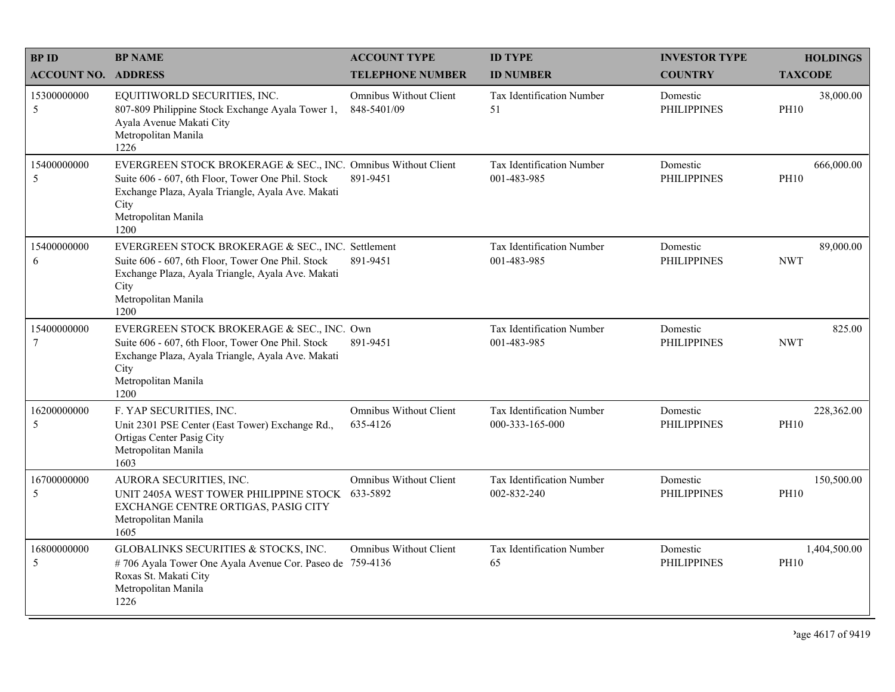| <b>BPID</b>                | <b>BP NAME</b>                                                                                                                                                                                                 | <b>ACCOUNT TYPE</b>                          | <b>ID TYPE</b>                               | <b>INVESTOR TYPE</b>           | <b>HOLDINGS</b>             |
|----------------------------|----------------------------------------------------------------------------------------------------------------------------------------------------------------------------------------------------------------|----------------------------------------------|----------------------------------------------|--------------------------------|-----------------------------|
| <b>ACCOUNT NO. ADDRESS</b> |                                                                                                                                                                                                                | <b>TELEPHONE NUMBER</b>                      | <b>ID NUMBER</b>                             | <b>COUNTRY</b>                 | <b>TAXCODE</b>              |
| 15300000000<br>5           | EQUITIWORLD SECURITIES, INC.<br>807-809 Philippine Stock Exchange Ayala Tower 1,<br>Ayala Avenue Makati City<br>Metropolitan Manila<br>1226                                                                    | <b>Omnibus Without Client</b><br>848-5401/09 | <b>Tax Identification Number</b><br>51       | Domestic<br><b>PHILIPPINES</b> | 38,000.00<br><b>PH10</b>    |
| 15400000000<br>5           | EVERGREEN STOCK BROKERAGE & SEC., INC. Omnibus Without Client<br>Suite 606 - 607, 6th Floor, Tower One Phil. Stock<br>Exchange Plaza, Ayala Triangle, Ayala Ave. Makati<br>City<br>Metropolitan Manila<br>1200 | 891-9451                                     | Tax Identification Number<br>001-483-985     | Domestic<br><b>PHILIPPINES</b> | 666,000.00<br><b>PH10</b>   |
| 15400000000<br>6           | EVERGREEN STOCK BROKERAGE & SEC., INC. Settlement<br>Suite 606 - 607, 6th Floor, Tower One Phil. Stock<br>Exchange Plaza, Ayala Triangle, Ayala Ave. Makati<br>City<br>Metropolitan Manila<br>1200             | 891-9451                                     | Tax Identification Number<br>001-483-985     | Domestic<br><b>PHILIPPINES</b> | 89,000.00<br><b>NWT</b>     |
| 15400000000<br>$\tau$      | EVERGREEN STOCK BROKERAGE & SEC., INC. Own<br>Suite 606 - 607, 6th Floor, Tower One Phil. Stock<br>Exchange Plaza, Ayala Triangle, Ayala Ave. Makati<br>City<br>Metropolitan Manila<br>1200                    | 891-9451                                     | Tax Identification Number<br>001-483-985     | Domestic<br><b>PHILIPPINES</b> | 825.00<br><b>NWT</b>        |
| 16200000000<br>5           | F. YAP SECURITIES, INC.<br>Unit 2301 PSE Center (East Tower) Exchange Rd.,<br>Ortigas Center Pasig City<br>Metropolitan Manila<br>1603                                                                         | <b>Omnibus Without Client</b><br>635-4126    | Tax Identification Number<br>000-333-165-000 | Domestic<br><b>PHILIPPINES</b> | 228,362.00<br><b>PH10</b>   |
| 16700000000<br>5           | AURORA SECURITIES, INC.<br>UNIT 2405A WEST TOWER PHILIPPINE STOCK 633-5892<br>EXCHANGE CENTRE ORTIGAS, PASIG CITY<br>Metropolitan Manila<br>1605                                                               | <b>Omnibus Without Client</b>                | Tax Identification Number<br>002-832-240     | Domestic<br><b>PHILIPPINES</b> | 150,500.00<br><b>PH10</b>   |
| 16800000000<br>5           | GLOBALINKS SECURITIES & STOCKS, INC.<br>#706 Ayala Tower One Ayala Avenue Cor. Paseo de 759-4136<br>Roxas St. Makati City<br>Metropolitan Manila<br>1226                                                       | <b>Omnibus Without Client</b>                | Tax Identification Number<br>65              | Domestic<br><b>PHILIPPINES</b> | 1,404,500.00<br><b>PH10</b> |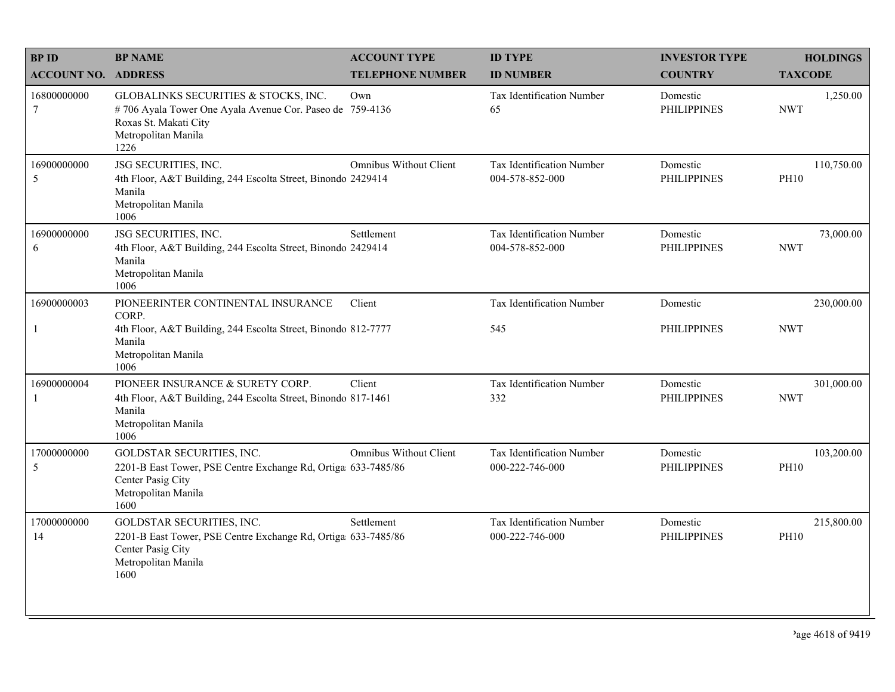| <b>BPID</b>                | <b>BP NAME</b>                                                                                                                                           | <b>ACCOUNT TYPE</b>           | <b>ID TYPE</b>                               | <b>INVESTOR TYPE</b>           | <b>HOLDINGS</b>           |
|----------------------------|----------------------------------------------------------------------------------------------------------------------------------------------------------|-------------------------------|----------------------------------------------|--------------------------------|---------------------------|
| <b>ACCOUNT NO. ADDRESS</b> |                                                                                                                                                          | <b>TELEPHONE NUMBER</b>       | <b>ID NUMBER</b>                             | <b>COUNTRY</b>                 | <b>TAXCODE</b>            |
| 16800000000<br>$\tau$      | GLOBALINKS SECURITIES & STOCKS, INC.<br>#706 Ayala Tower One Ayala Avenue Cor. Paseo de 759-4136<br>Roxas St. Makati City<br>Metropolitan Manila<br>1226 | Own                           | Tax Identification Number<br>65              | Domestic<br><b>PHILIPPINES</b> | 1,250.00<br><b>NWT</b>    |
| 16900000000<br>5           | JSG SECURITIES, INC.<br>4th Floor, A&T Building, 244 Escolta Street, Binondo 2429414<br>Manila<br>Metropolitan Manila<br>1006                            | <b>Omnibus Without Client</b> | Tax Identification Number<br>004-578-852-000 | Domestic<br><b>PHILIPPINES</b> | 110,750.00<br><b>PH10</b> |
| 16900000000<br>6           | JSG SECURITIES, INC.<br>4th Floor, A&T Building, 244 Escolta Street, Binondo 2429414<br>Manila<br>Metropolitan Manila<br>1006                            | Settlement                    | Tax Identification Number<br>004-578-852-000 | Domestic<br><b>PHILIPPINES</b> | 73,000.00<br><b>NWT</b>   |
| 16900000003                | PIONEERINTER CONTINENTAL INSURANCE                                                                                                                       | Client                        | Tax Identification Number                    | Domestic                       | 230,000.00                |
| $\mathbf{1}$               | CORP.<br>4th Floor, A&T Building, 244 Escolta Street, Binondo 812-7777<br>Manila<br>Metropolitan Manila<br>1006                                          |                               | 545                                          | <b>PHILIPPINES</b>             | <b>NWT</b>                |
| 16900000004<br>1           | PIONEER INSURANCE & SURETY CORP.<br>4th Floor, A&T Building, 244 Escolta Street, Binondo 817-1461<br>Manila<br>Metropolitan Manila<br>1006               | Client                        | Tax Identification Number<br>332             | Domestic<br><b>PHILIPPINES</b> | 301,000.00<br><b>NWT</b>  |
| 17000000000<br>5           | GOLDSTAR SECURITIES, INC.<br>2201-B East Tower, PSE Centre Exchange Rd, Ortiga 633-7485/86<br>Center Pasig City<br>Metropolitan Manila<br>1600           | <b>Omnibus Without Client</b> | Tax Identification Number<br>000-222-746-000 | Domestic<br><b>PHILIPPINES</b> | 103,200.00<br><b>PH10</b> |
| 17000000000<br>14          | GOLDSTAR SECURITIES, INC.<br>2201-B East Tower, PSE Centre Exchange Rd, Ortiga 633-7485/86<br>Center Pasig City<br>Metropolitan Manila<br>1600           | Settlement                    | Tax Identification Number<br>000-222-746-000 | Domestic<br><b>PHILIPPINES</b> | 215,800.00<br><b>PH10</b> |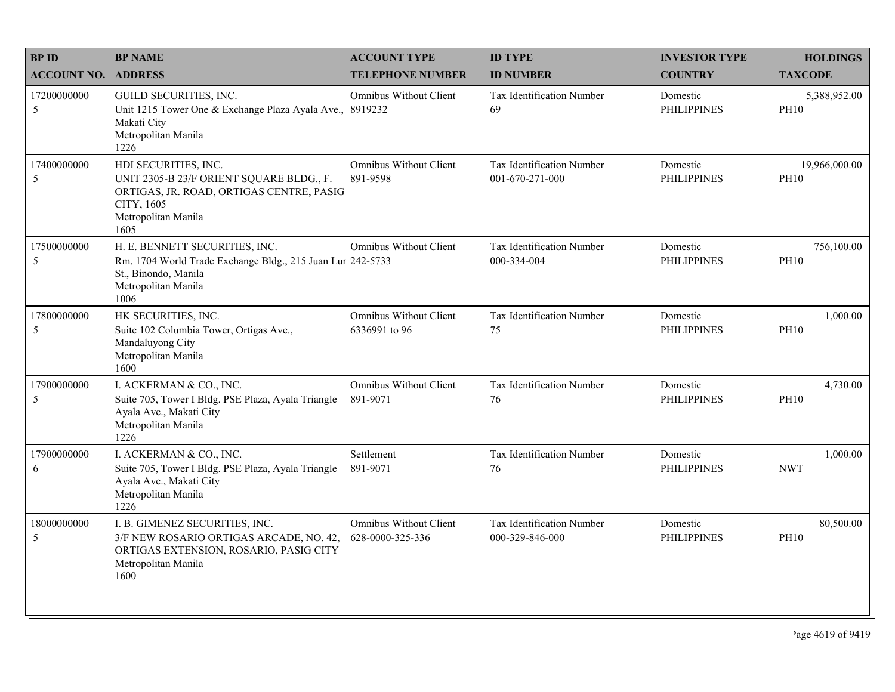| <b>BPID</b>                | <b>BP NAME</b>                                                                                                                                            | <b>ACCOUNT TYPE</b>                               | <b>ID TYPE</b>                                  | <b>INVESTOR TYPE</b>           | <b>HOLDINGS</b>              |
|----------------------------|-----------------------------------------------------------------------------------------------------------------------------------------------------------|---------------------------------------------------|-------------------------------------------------|--------------------------------|------------------------------|
| <b>ACCOUNT NO. ADDRESS</b> |                                                                                                                                                           | <b>TELEPHONE NUMBER</b>                           | <b>ID NUMBER</b>                                | <b>COUNTRY</b>                 | <b>TAXCODE</b>               |
| 17200000000<br>5           | GUILD SECURITIES, INC.<br>Unit 1215 Tower One & Exchange Plaza Ayala Ave., 8919232<br>Makati City<br>Metropolitan Manila<br>1226                          | <b>Omnibus Without Client</b>                     | Tax Identification Number<br>69                 | Domestic<br><b>PHILIPPINES</b> | 5,388,952.00<br><b>PH10</b>  |
| 17400000000<br>5           | HDI SECURITIES, INC.<br>UNIT 2305-B 23/F ORIENT SQUARE BLDG., F.<br>ORTIGAS, JR. ROAD, ORTIGAS CENTRE, PASIG<br>CITY, 1605<br>Metropolitan Manila<br>1605 | <b>Omnibus Without Client</b><br>891-9598         | Tax Identification Number<br>001-670-271-000    | Domestic<br><b>PHILIPPINES</b> | 19,966,000.00<br><b>PH10</b> |
| 17500000000<br>5           | H. E. BENNETT SECURITIES, INC.<br>Rm. 1704 World Trade Exchange Bldg., 215 Juan Lur 242-5733<br>St., Binondo, Manila<br>Metropolitan Manila<br>1006       | <b>Omnibus Without Client</b>                     | <b>Tax Identification Number</b><br>000-334-004 | Domestic<br><b>PHILIPPINES</b> | 756,100.00<br><b>PH10</b>    |
| 17800000000<br>5           | HK SECURITIES, INC.<br>Suite 102 Columbia Tower, Ortigas Ave.,<br>Mandaluyong City<br>Metropolitan Manila<br>1600                                         | <b>Omnibus Without Client</b><br>6336991 to 96    | Tax Identification Number<br>75                 | Domestic<br><b>PHILIPPINES</b> | 1,000.00<br><b>PH10</b>      |
| 17900000000<br>5           | I. ACKERMAN & CO., INC.<br>Suite 705, Tower I Bldg. PSE Plaza, Ayala Triangle<br>Ayala Ave., Makati City<br>Metropolitan Manila<br>1226                   | <b>Omnibus Without Client</b><br>891-9071         | Tax Identification Number<br>76                 | Domestic<br><b>PHILIPPINES</b> | 4,730.00<br><b>PH10</b>      |
| 17900000000<br>6           | I. ACKERMAN & CO., INC.<br>Suite 705, Tower I Bldg. PSE Plaza, Ayala Triangle<br>Ayala Ave., Makati City<br>Metropolitan Manila<br>1226                   | Settlement<br>891-9071                            | Tax Identification Number<br>76                 | Domestic<br><b>PHILIPPINES</b> | 1,000.00<br><b>NWT</b>       |
| 18000000000<br>5           | I. B. GIMENEZ SECURITIES, INC.<br>3/F NEW ROSARIO ORTIGAS ARCADE, NO. 42,<br>ORTIGAS EXTENSION, ROSARIO, PASIG CITY<br>Metropolitan Manila<br>1600        | <b>Omnibus Without Client</b><br>628-0000-325-336 | Tax Identification Number<br>000-329-846-000    | Domestic<br><b>PHILIPPINES</b> | 80,500.00<br><b>PH10</b>     |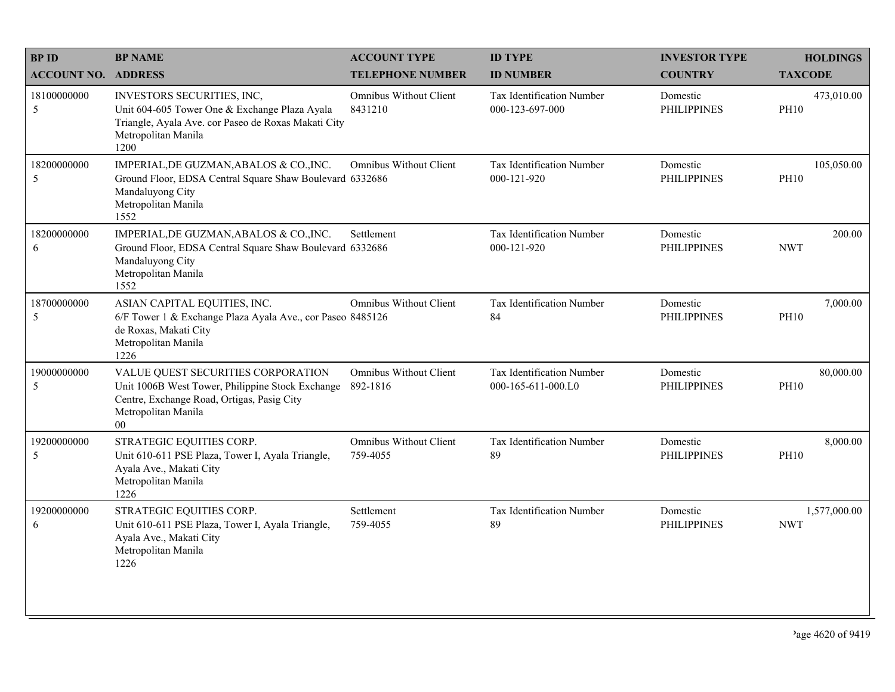| <b>BPID</b>                | <b>BP NAME</b>                                                                                                                                                        | <b>ACCOUNT TYPE</b>                       | <b>ID TYPE</b>                                      | <b>INVESTOR TYPE</b>           | <b>HOLDINGS</b>            |
|----------------------------|-----------------------------------------------------------------------------------------------------------------------------------------------------------------------|-------------------------------------------|-----------------------------------------------------|--------------------------------|----------------------------|
| <b>ACCOUNT NO. ADDRESS</b> |                                                                                                                                                                       | <b>TELEPHONE NUMBER</b>                   | <b>ID NUMBER</b>                                    | <b>COUNTRY</b>                 | <b>TAXCODE</b>             |
| 18100000000<br>5           | INVESTORS SECURITIES, INC,<br>Unit 604-605 Tower One & Exchange Plaza Ayala<br>Triangle, Ayala Ave. cor Paseo de Roxas Makati City<br>Metropolitan Manila<br>1200     | <b>Omnibus Without Client</b><br>8431210  | <b>Tax Identification Number</b><br>000-123-697-000 | Domestic<br><b>PHILIPPINES</b> | 473,010.00<br><b>PH10</b>  |
| 18200000000<br>5           | IMPERIAL, DE GUZMAN, ABALOS & CO., INC.<br>Ground Floor, EDSA Central Square Shaw Boulevard 6332686<br>Mandaluyong City<br>Metropolitan Manila<br>1552                | Omnibus Without Client                    | Tax Identification Number<br>000-121-920            | Domestic<br><b>PHILIPPINES</b> | 105,050.00<br><b>PH10</b>  |
| 18200000000<br>6           | IMPERIAL, DE GUZMAN, ABALOS & CO., INC.<br>Ground Floor, EDSA Central Square Shaw Boulevard 6332686<br>Mandaluyong City<br>Metropolitan Manila<br>1552                | Settlement                                | Tax Identification Number<br>000-121-920            | Domestic<br><b>PHILIPPINES</b> | 200.00<br><b>NWT</b>       |
| 18700000000<br>5           | ASIAN CAPITAL EQUITIES, INC.<br>6/F Tower 1 & Exchange Plaza Ayala Ave., cor Paseo 8485126<br>de Roxas, Makati City<br>Metropolitan Manila<br>1226                    | <b>Omnibus Without Client</b>             | Tax Identification Number<br>84                     | Domestic<br><b>PHILIPPINES</b> | 7,000.00<br><b>PH10</b>    |
| 19000000000<br>5           | VALUE QUEST SECURITIES CORPORATION<br>Unit 1006B West Tower, Philippine Stock Exchange<br>Centre, Exchange Road, Ortigas, Pasig City<br>Metropolitan Manila<br>$00\,$ | <b>Omnibus Without Client</b><br>892-1816 | Tax Identification Number<br>000-165-611-000.L0     | Domestic<br><b>PHILIPPINES</b> | 80,000.00<br><b>PH10</b>   |
| 19200000000<br>5           | STRATEGIC EQUITIES CORP.<br>Unit 610-611 PSE Plaza, Tower I, Ayala Triangle,<br>Ayala Ave., Makati City<br>Metropolitan Manila<br>1226                                | <b>Omnibus Without Client</b><br>759-4055 | Tax Identification Number<br>89                     | Domestic<br><b>PHILIPPINES</b> | 8,000.00<br><b>PH10</b>    |
| 19200000000<br>6           | STRATEGIC EQUITIES CORP.<br>Unit 610-611 PSE Plaza, Tower I, Ayala Triangle,<br>Ayala Ave., Makati City<br>Metropolitan Manila<br>1226                                | Settlement<br>759-4055                    | Tax Identification Number<br>89                     | Domestic<br><b>PHILIPPINES</b> | 1,577,000.00<br><b>NWT</b> |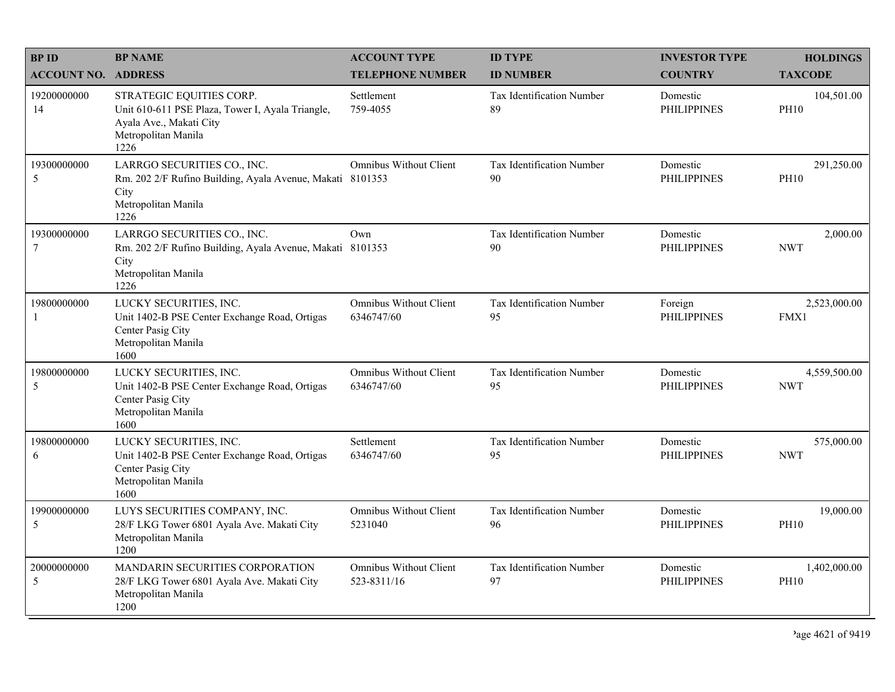| <b>BPID</b>                 | <b>BP NAME</b>                                                                                                                         | <b>ACCOUNT TYPE</b>                          | <b>ID TYPE</b>                         | <b>INVESTOR TYPE</b>           | <b>HOLDINGS</b>             |
|-----------------------------|----------------------------------------------------------------------------------------------------------------------------------------|----------------------------------------------|----------------------------------------|--------------------------------|-----------------------------|
| <b>ACCOUNT NO. ADDRESS</b>  |                                                                                                                                        | <b>TELEPHONE NUMBER</b>                      | <b>ID NUMBER</b>                       | <b>COUNTRY</b>                 | <b>TAXCODE</b>              |
| 19200000000<br>14           | STRATEGIC EQUITIES CORP.<br>Unit 610-611 PSE Plaza, Tower I, Ayala Triangle,<br>Ayala Ave., Makati City<br>Metropolitan Manila<br>1226 | Settlement<br>759-4055                       | <b>Tax Identification Number</b><br>89 | Domestic<br><b>PHILIPPINES</b> | 104,501.00<br><b>PH10</b>   |
| 19300000000<br>5            | LARRGO SECURITIES CO., INC.<br>Rm. 202 2/F Rufino Building, Ayala Avenue, Makati 8101353<br>City<br>Metropolitan Manila<br>1226        | <b>Omnibus Without Client</b>                | Tax Identification Number<br>90        | Domestic<br><b>PHILIPPINES</b> | 291,250.00<br><b>PH10</b>   |
| 19300000000<br>$\tau$       | LARRGO SECURITIES CO., INC.<br>Rm. 202 2/F Rufino Building, Ayala Avenue, Makati 8101353<br>City<br>Metropolitan Manila<br>1226        | Own                                          | Tax Identification Number<br>90        | Domestic<br><b>PHILIPPINES</b> | 2,000.00<br><b>NWT</b>      |
| 19800000000<br>$\mathbf{1}$ | LUCKY SECURITIES, INC.<br>Unit 1402-B PSE Center Exchange Road, Ortigas<br>Center Pasig City<br>Metropolitan Manila<br>1600            | <b>Omnibus Without Client</b><br>6346747/60  | Tax Identification Number<br>95        | Foreign<br><b>PHILIPPINES</b>  | 2,523,000.00<br>FMX1        |
| 19800000000<br>5            | LUCKY SECURITIES, INC.<br>Unit 1402-B PSE Center Exchange Road, Ortigas<br>Center Pasig City<br>Metropolitan Manila<br>1600            | <b>Omnibus Without Client</b><br>6346747/60  | <b>Tax Identification Number</b><br>95 | Domestic<br><b>PHILIPPINES</b> | 4,559,500.00<br><b>NWT</b>  |
| 19800000000<br>6            | LUCKY SECURITIES, INC.<br>Unit 1402-B PSE Center Exchange Road, Ortigas<br>Center Pasig City<br>Metropolitan Manila<br>1600            | Settlement<br>6346747/60                     | <b>Tax Identification Number</b><br>95 | Domestic<br><b>PHILIPPINES</b> | 575,000.00<br><b>NWT</b>    |
| 19900000000<br>5            | LUYS SECURITIES COMPANY, INC.<br>28/F LKG Tower 6801 Ayala Ave. Makati City<br>Metropolitan Manila<br>1200                             | <b>Omnibus Without Client</b><br>5231040     | Tax Identification Number<br>96        | Domestic<br><b>PHILIPPINES</b> | 19,000.00<br><b>PH10</b>    |
| 20000000000<br>5            | MANDARIN SECURITIES CORPORATION<br>28/F LKG Tower 6801 Ayala Ave. Makati City<br>Metropolitan Manila<br>1200                           | <b>Omnibus Without Client</b><br>523-8311/16 | Tax Identification Number<br>97        | Domestic<br><b>PHILIPPINES</b> | 1,402,000.00<br><b>PH10</b> |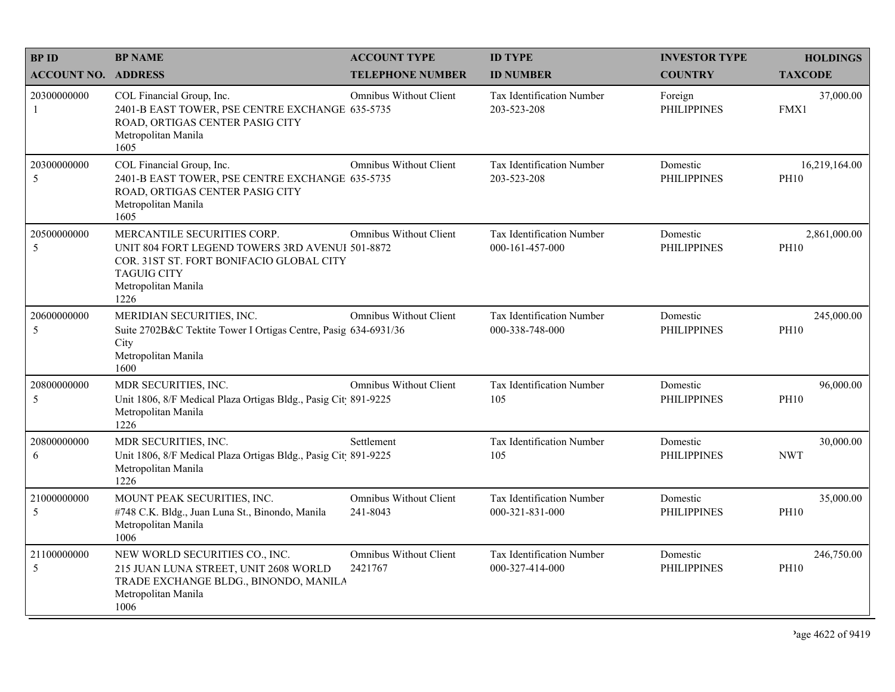| <b>BPID</b>                | <b>BP NAME</b>                                                                                                                                                                  | <b>ACCOUNT TYPE</b>                       | <b>ID TYPE</b>                                      | <b>INVESTOR TYPE</b>           | <b>HOLDINGS</b>              |
|----------------------------|---------------------------------------------------------------------------------------------------------------------------------------------------------------------------------|-------------------------------------------|-----------------------------------------------------|--------------------------------|------------------------------|
| <b>ACCOUNT NO. ADDRESS</b> |                                                                                                                                                                                 | <b>TELEPHONE NUMBER</b>                   | <b>ID NUMBER</b>                                    | <b>COUNTRY</b>                 | <b>TAXCODE</b>               |
| 20300000000<br>-1          | COL Financial Group, Inc.<br>2401-B EAST TOWER, PSE CENTRE EXCHANGE 635-5735<br>ROAD, ORTIGAS CENTER PASIG CITY<br>Metropolitan Manila<br>1605                                  | Omnibus Without Client                    | <b>Tax Identification Number</b><br>203-523-208     | Foreign<br><b>PHILIPPINES</b>  | 37,000.00<br>FMX1            |
| 20300000000<br>5           | COL Financial Group, Inc.<br>2401-B EAST TOWER, PSE CENTRE EXCHANGE 635-5735<br>ROAD, ORTIGAS CENTER PASIG CITY<br>Metropolitan Manila<br>1605                                  | Omnibus Without Client                    | Tax Identification Number<br>203-523-208            | Domestic<br><b>PHILIPPINES</b> | 16,219,164.00<br><b>PH10</b> |
| 20500000000<br>5           | MERCANTILE SECURITIES CORP.<br>UNIT 804 FORT LEGEND TOWERS 3RD AVENUI 501-8872<br>COR. 31ST ST. FORT BONIFACIO GLOBAL CITY<br><b>TAGUIG CITY</b><br>Metropolitan Manila<br>1226 | <b>Omnibus Without Client</b>             | Tax Identification Number<br>000-161-457-000        | Domestic<br><b>PHILIPPINES</b> | 2,861,000.00<br><b>PH10</b>  |
| 20600000000<br>5           | MERIDIAN SECURITIES, INC.<br>Suite 2702B&C Tektite Tower I Ortigas Centre, Pasig 634-6931/36<br>City<br>Metropolitan Manila<br>1600                                             | <b>Omnibus Without Client</b>             | <b>Tax Identification Number</b><br>000-338-748-000 | Domestic<br><b>PHILIPPINES</b> | 245,000.00<br><b>PH10</b>    |
| 20800000000<br>5           | MDR SECURITIES, INC.<br>Unit 1806, 8/F Medical Plaza Ortigas Bldg., Pasig Cit 891-9225<br>Metropolitan Manila<br>1226                                                           | <b>Omnibus Without Client</b>             | Tax Identification Number<br>105                    | Domestic<br><b>PHILIPPINES</b> | 96,000.00<br><b>PH10</b>     |
| 20800000000<br>6           | MDR SECURITIES, INC.<br>Unit 1806, 8/F Medical Plaza Ortigas Bldg., Pasig Cit 891-9225<br>Metropolitan Manila<br>1226                                                           | Settlement                                | Tax Identification Number<br>105                    | Domestic<br><b>PHILIPPINES</b> | 30,000.00<br><b>NWT</b>      |
| 21000000000<br>5           | MOUNT PEAK SECURITIES, INC.<br>#748 C.K. Bldg., Juan Luna St., Binondo, Manila<br>Metropolitan Manila<br>1006                                                                   | <b>Omnibus Without Client</b><br>241-8043 | Tax Identification Number<br>000-321-831-000        | Domestic<br><b>PHILIPPINES</b> | 35,000.00<br><b>PH10</b>     |
| 21100000000<br>5           | NEW WORLD SECURITIES CO., INC.<br>215 JUAN LUNA STREET, UNIT 2608 WORLD<br>TRADE EXCHANGE BLDG., BINONDO, MANILA<br>Metropolitan Manila<br>1006                                 | <b>Omnibus Without Client</b><br>2421767  | Tax Identification Number<br>000-327-414-000        | Domestic<br><b>PHILIPPINES</b> | 246,750.00<br><b>PH10</b>    |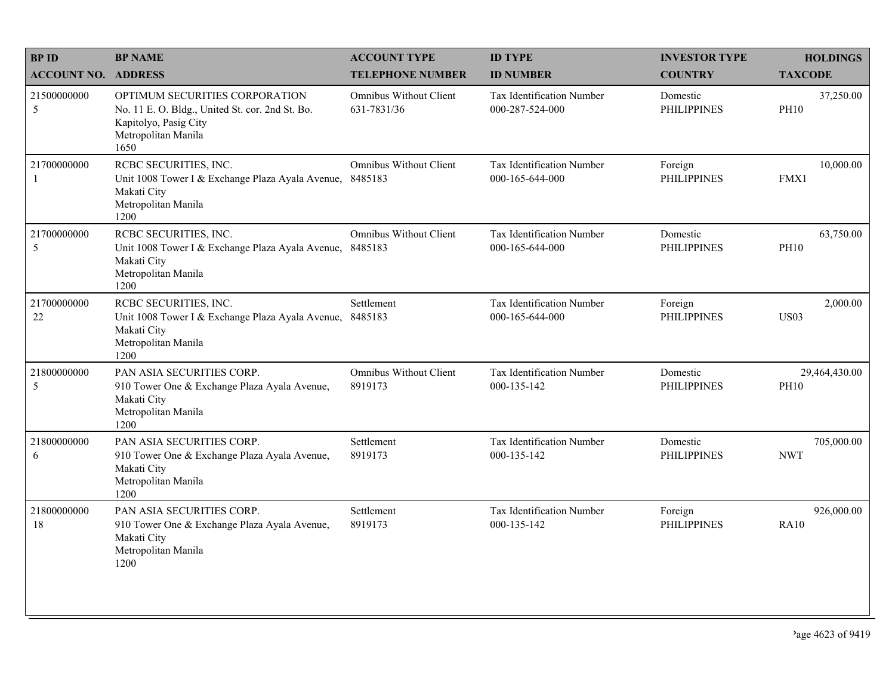| <b>BPID</b>                 | <b>BP NAME</b>                                                                                                                            | <b>ACCOUNT TYPE</b>                          | <b>ID TYPE</b>                                      | <b>INVESTOR TYPE</b>           | <b>HOLDINGS</b>              |
|-----------------------------|-------------------------------------------------------------------------------------------------------------------------------------------|----------------------------------------------|-----------------------------------------------------|--------------------------------|------------------------------|
| <b>ACCOUNT NO. ADDRESS</b>  |                                                                                                                                           | <b>TELEPHONE NUMBER</b>                      | <b>ID NUMBER</b>                                    | <b>COUNTRY</b>                 | <b>TAXCODE</b>               |
| 21500000000<br>5            | OPTIMUM SECURITIES CORPORATION<br>No. 11 E. O. Bldg., United St. cor. 2nd St. Bo.<br>Kapitolyo, Pasig City<br>Metropolitan Manila<br>1650 | <b>Omnibus Without Client</b><br>631-7831/36 | <b>Tax Identification Number</b><br>000-287-524-000 | Domestic<br><b>PHILIPPINES</b> | 37,250.00<br><b>PH10</b>     |
| 21700000000<br>$\mathbf{1}$ | RCBC SECURITIES, INC.<br>Unit 1008 Tower I & Exchange Plaza Ayala Avenue,<br>Makati City<br>Metropolitan Manila<br>1200                   | <b>Omnibus Without Client</b><br>8485183     | Tax Identification Number<br>000-165-644-000        | Foreign<br><b>PHILIPPINES</b>  | 10,000.00<br>FMX1            |
| 21700000000<br>5            | RCBC SECURITIES, INC.<br>Unit 1008 Tower I & Exchange Plaza Ayala Avenue,<br>Makati City<br>Metropolitan Manila<br>1200                   | <b>Omnibus Without Client</b><br>8485183     | Tax Identification Number<br>000-165-644-000        | Domestic<br><b>PHILIPPINES</b> | 63,750.00<br><b>PH10</b>     |
| 21700000000<br>22           | RCBC SECURITIES, INC.<br>Unit 1008 Tower I & Exchange Plaza Ayala Avenue,<br>Makati City<br>Metropolitan Manila<br>1200                   | Settlement<br>8485183                        | Tax Identification Number<br>000-165-644-000        | Foreign<br><b>PHILIPPINES</b>  | 2,000.00<br><b>US03</b>      |
| 21800000000<br>5            | PAN ASIA SECURITIES CORP.<br>910 Tower One & Exchange Plaza Ayala Avenue,<br>Makati City<br>Metropolitan Manila<br>1200                   | <b>Omnibus Without Client</b><br>8919173     | Tax Identification Number<br>000-135-142            | Domestic<br><b>PHILIPPINES</b> | 29,464,430.00<br><b>PH10</b> |
| 21800000000<br>6            | PAN ASIA SECURITIES CORP.<br>910 Tower One & Exchange Plaza Ayala Avenue,<br>Makati City<br>Metropolitan Manila<br>1200                   | Settlement<br>8919173                        | Tax Identification Number<br>000-135-142            | Domestic<br><b>PHILIPPINES</b> | 705,000.00<br><b>NWT</b>     |
| 21800000000<br>18           | PAN ASIA SECURITIES CORP.<br>910 Tower One & Exchange Plaza Ayala Avenue,<br>Makati City<br>Metropolitan Manila<br>1200                   | Settlement<br>8919173                        | Tax Identification Number<br>000-135-142            | Foreign<br><b>PHILIPPINES</b>  | 926,000.00<br><b>RA10</b>    |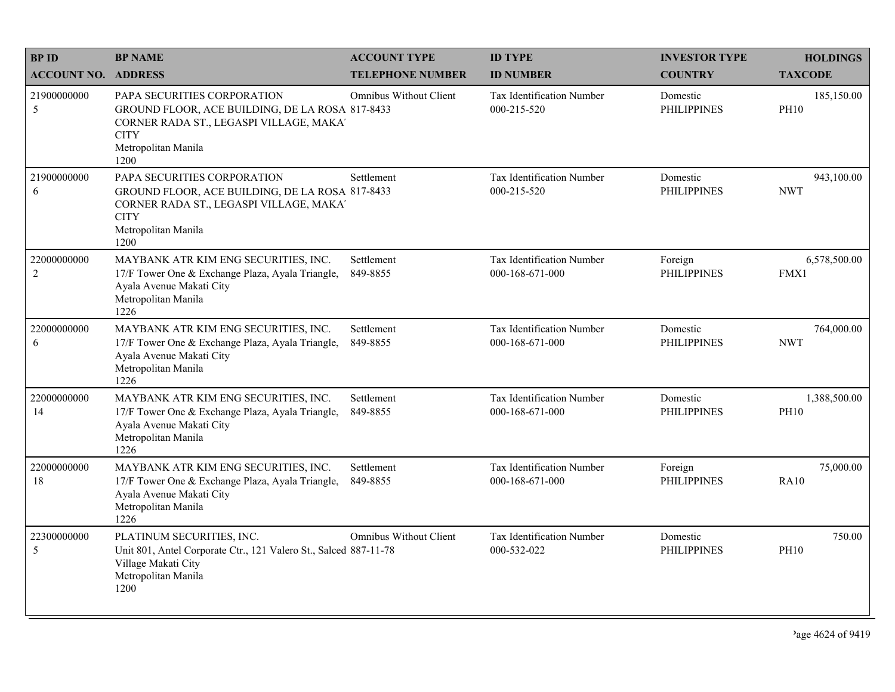| <b>BPID</b>                   | <b>BP NAME</b>                                                                                                                                                          | <b>ACCOUNT TYPE</b>           | <b>ID TYPE</b>                                      | <b>INVESTOR TYPE</b>           | <b>HOLDINGS</b>             |
|-------------------------------|-------------------------------------------------------------------------------------------------------------------------------------------------------------------------|-------------------------------|-----------------------------------------------------|--------------------------------|-----------------------------|
| <b>ACCOUNT NO. ADDRESS</b>    |                                                                                                                                                                         | <b>TELEPHONE NUMBER</b>       | <b>ID NUMBER</b>                                    | <b>COUNTRY</b>                 | <b>TAXCODE</b>              |
| 21900000000<br>5              | PAPA SECURITIES CORPORATION<br>GROUND FLOOR, ACE BUILDING, DE LA ROSA 817-8433<br>CORNER RADA ST., LEGASPI VILLAGE, MAKA'<br><b>CITY</b><br>Metropolitan Manila<br>1200 | <b>Omnibus Without Client</b> | <b>Tax Identification Number</b><br>000-215-520     | Domestic<br><b>PHILIPPINES</b> | 185,150.00<br><b>PH10</b>   |
| 21900000000<br>6              | PAPA SECURITIES CORPORATION<br>GROUND FLOOR, ACE BUILDING, DE LA ROSA 817-8433<br>CORNER RADA ST., LEGASPI VILLAGE, MAKA'<br><b>CITY</b><br>Metropolitan Manila<br>1200 | Settlement                    | Tax Identification Number<br>000-215-520            | Domestic<br><b>PHILIPPINES</b> | 943,100.00<br><b>NWT</b>    |
| 22000000000<br>$\overline{2}$ | MAYBANK ATR KIM ENG SECURITIES, INC.<br>17/F Tower One & Exchange Plaza, Ayala Triangle,<br>Ayala Avenue Makati City<br>Metropolitan Manila<br>1226                     | Settlement<br>849-8855        | <b>Tax Identification Number</b><br>000-168-671-000 | Foreign<br><b>PHILIPPINES</b>  | 6,578,500.00<br>FMX1        |
| 22000000000<br>6              | MAYBANK ATR KIM ENG SECURITIES, INC.<br>17/F Tower One & Exchange Plaza, Ayala Triangle,<br>Ayala Avenue Makati City<br>Metropolitan Manila<br>1226                     | Settlement<br>849-8855        | <b>Tax Identification Number</b><br>000-168-671-000 | Domestic<br><b>PHILIPPINES</b> | 764,000.00<br><b>NWT</b>    |
| 22000000000<br>14             | MAYBANK ATR KIM ENG SECURITIES, INC.<br>17/F Tower One & Exchange Plaza, Ayala Triangle,<br>Ayala Avenue Makati City<br>Metropolitan Manila<br>1226                     | Settlement<br>849-8855        | Tax Identification Number<br>000-168-671-000        | Domestic<br><b>PHILIPPINES</b> | 1,388,500.00<br><b>PH10</b> |
| 22000000000<br>18             | MAYBANK ATR KIM ENG SECURITIES, INC.<br>17/F Tower One & Exchange Plaza, Ayala Triangle,<br>Ayala Avenue Makati City<br>Metropolitan Manila<br>1226                     | Settlement<br>849-8855        | <b>Tax Identification Number</b><br>000-168-671-000 | Foreign<br><b>PHILIPPINES</b>  | 75,000.00<br>RA10           |
| 22300000000<br>5              | PLATINUM SECURITIES, INC.<br>Unit 801, Antel Corporate Ctr., 121 Valero St., Salced 887-11-78<br>Village Makati City<br>Metropolitan Manila<br>1200                     | <b>Omnibus Without Client</b> | Tax Identification Number<br>000-532-022            | Domestic<br><b>PHILIPPINES</b> | 750.00<br><b>PH10</b>       |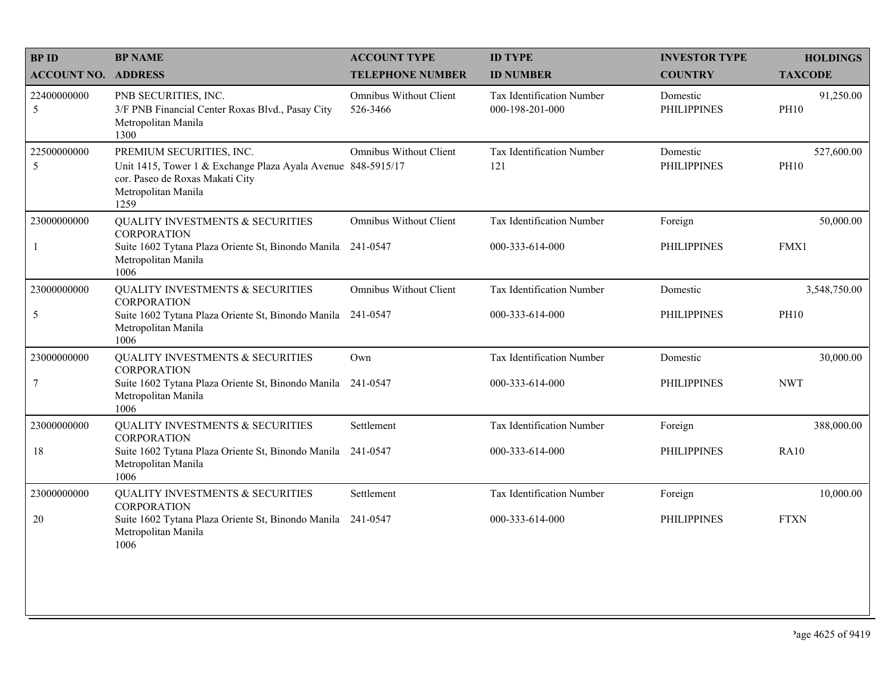| <b>BPID</b>                | <b>BP NAME</b>                                                                                                                                             | <b>ACCOUNT TYPE</b>                | <b>ID TYPE</b>                               | <b>INVESTOR TYPE</b>           | <b>HOLDINGS</b>           |
|----------------------------|------------------------------------------------------------------------------------------------------------------------------------------------------------|------------------------------------|----------------------------------------------|--------------------------------|---------------------------|
| <b>ACCOUNT NO. ADDRESS</b> |                                                                                                                                                            | <b>TELEPHONE NUMBER</b>            | <b>ID NUMBER</b>                             | <b>COUNTRY</b>                 | <b>TAXCODE</b>            |
| 22400000000<br>5           | PNB SECURITIES, INC.<br>3/F PNB Financial Center Roxas Blvd., Pasay City<br>Metropolitan Manila<br>1300                                                    | Omnibus Without Client<br>526-3466 | Tax Identification Number<br>000-198-201-000 | Domestic<br><b>PHILIPPINES</b> | 91,250.00<br><b>PH10</b>  |
| 22500000000<br>5           | PREMIUM SECURITIES, INC.<br>Unit 1415, Tower 1 & Exchange Plaza Ayala Avenue 848-5915/17<br>cor. Paseo de Roxas Makati City<br>Metropolitan Manila<br>1259 | <b>Omnibus Without Client</b>      | Tax Identification Number<br>121             | Domestic<br><b>PHILIPPINES</b> | 527,600.00<br><b>PH10</b> |
| 23000000000                | <b>QUALITY INVESTMENTS &amp; SECURITIES</b><br><b>CORPORATION</b>                                                                                          | <b>Omnibus Without Client</b>      | Tax Identification Number                    | Foreign                        | 50,000.00                 |
| 1                          | Suite 1602 Tytana Plaza Oriente St, Binondo Manila 241-0547<br>Metropolitan Manila<br>1006                                                                 |                                    | 000-333-614-000                              | <b>PHILIPPINES</b>             | FMX1                      |
| 23000000000                | <b>QUALITY INVESTMENTS &amp; SECURITIES</b><br><b>CORPORATION</b>                                                                                          | <b>Omnibus Without Client</b>      | Tax Identification Number                    | Domestic                       | 3,548,750.00              |
| $\sqrt{5}$                 | Suite 1602 Tytana Plaza Oriente St, Binondo Manila 241-0547<br>Metropolitan Manila<br>1006                                                                 |                                    | 000-333-614-000                              | <b>PHILIPPINES</b>             | <b>PH10</b>               |
| 23000000000                | <b>QUALITY INVESTMENTS &amp; SECURITIES</b><br><b>CORPORATION</b>                                                                                          | Own                                | Tax Identification Number                    | Domestic                       | 30,000.00                 |
| $\tau$                     | Suite 1602 Tytana Plaza Oriente St, Binondo Manila 241-0547<br>Metropolitan Manila<br>1006                                                                 |                                    | 000-333-614-000                              | PHILIPPINES                    | <b>NWT</b>                |
| 23000000000                | <b>QUALITY INVESTMENTS &amp; SECURITIES</b><br><b>CORPORATION</b>                                                                                          | Settlement                         | Tax Identification Number                    | Foreign                        | 388,000.00                |
| 18                         | Suite 1602 Tytana Plaza Oriente St, Binondo Manila<br>Metropolitan Manila<br>1006                                                                          | 241-0547                           | 000-333-614-000                              | <b>PHILIPPINES</b>             | <b>RA10</b>               |
| 23000000000                | <b>QUALITY INVESTMENTS &amp; SECURITIES</b><br><b>CORPORATION</b>                                                                                          | Settlement                         | Tax Identification Number                    | Foreign                        | 10,000.00                 |
| 20                         | Suite 1602 Tytana Plaza Oriente St, Binondo Manila 241-0547<br>Metropolitan Manila<br>1006                                                                 |                                    | 000-333-614-000                              | <b>PHILIPPINES</b>             | <b>FTXN</b>               |
|                            |                                                                                                                                                            |                                    |                                              |                                |                           |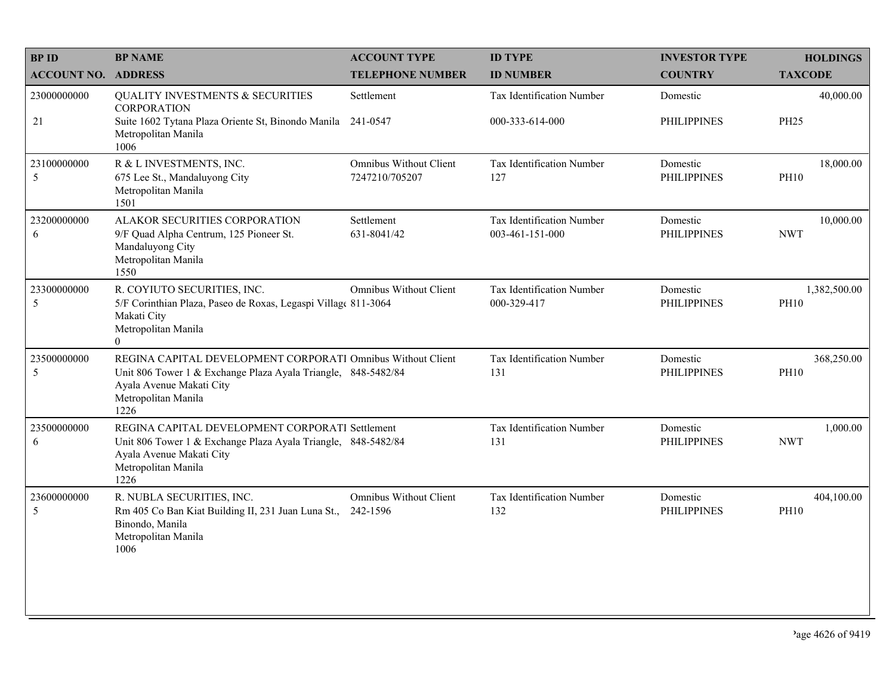| <b>BP ID</b>               | <b>BP NAME</b>                                                                                                                                                                          | <b>ACCOUNT TYPE</b>                             | <b>ID TYPE</b>                                      | <b>INVESTOR TYPE</b>           | <b>HOLDINGS</b>             |
|----------------------------|-----------------------------------------------------------------------------------------------------------------------------------------------------------------------------------------|-------------------------------------------------|-----------------------------------------------------|--------------------------------|-----------------------------|
| <b>ACCOUNT NO. ADDRESS</b> |                                                                                                                                                                                         | <b>TELEPHONE NUMBER</b>                         | <b>ID NUMBER</b>                                    | <b>COUNTRY</b>                 | <b>TAXCODE</b>              |
| 23000000000<br>21          | <b>QUALITY INVESTMENTS &amp; SECURITIES</b><br><b>CORPORATION</b><br>Suite 1602 Tytana Plaza Oriente St, Binondo Manila 241-0547<br>Metropolitan Manila<br>1006                         | Settlement                                      | <b>Tax Identification Number</b><br>000-333-614-000 | Domestic<br><b>PHILIPPINES</b> | 40,000.00<br><b>PH25</b>    |
| 23100000000<br>5           | R & L INVESTMENTS, INC.<br>675 Lee St., Mandaluyong City<br>Metropolitan Manila<br>1501                                                                                                 | <b>Omnibus Without Client</b><br>7247210/705207 | Tax Identification Number<br>127                    | Domestic<br><b>PHILIPPINES</b> | 18,000.00<br><b>PH10</b>    |
| 23200000000<br>6           | ALAKOR SECURITIES CORPORATION<br>9/F Quad Alpha Centrum, 125 Pioneer St.<br>Mandaluyong City<br>Metropolitan Manila<br>1550                                                             | Settlement<br>631-8041/42                       | Tax Identification Number<br>003-461-151-000        | Domestic<br><b>PHILIPPINES</b> | 10,000.00<br><b>NWT</b>     |
| 23300000000<br>5           | R. COYIUTO SECURITIES, INC.<br>5/F Corinthian Plaza, Paseo de Roxas, Legaspi Village 811-3064<br>Makati City<br>Metropolitan Manila<br>$\Omega$                                         | <b>Omnibus Without Client</b>                   | Tax Identification Number<br>000-329-417            | Domestic<br><b>PHILIPPINES</b> | 1,382,500.00<br><b>PH10</b> |
| 23500000000<br>5           | REGINA CAPITAL DEVELOPMENT CORPORATI Omnibus Without Client<br>Unit 806 Tower 1 & Exchange Plaza Ayala Triangle, 848-5482/84<br>Ayala Avenue Makati City<br>Metropolitan Manila<br>1226 |                                                 | Tax Identification Number<br>131                    | Domestic<br><b>PHILIPPINES</b> | 368,250.00<br><b>PH10</b>   |
| 23500000000<br>6           | REGINA CAPITAL DEVELOPMENT CORPORATI Settlement<br>Unit 806 Tower 1 & Exchange Plaza Ayala Triangle, 848-5482/84<br>Ayala Avenue Makati City<br>Metropolitan Manila<br>1226             |                                                 | Tax Identification Number<br>131                    | Domestic<br><b>PHILIPPINES</b> | 1,000.00<br><b>NWT</b>      |
| 23600000000<br>5           | R. NUBLA SECURITIES, INC.<br>Rm 405 Co Ban Kiat Building II, 231 Juan Luna St.,<br>Binondo, Manila<br>Metropolitan Manila<br>1006                                                       | <b>Omnibus Without Client</b><br>242-1596       | Tax Identification Number<br>132                    | Domestic<br><b>PHILIPPINES</b> | 404,100.00<br><b>PH10</b>   |
|                            |                                                                                                                                                                                         |                                                 |                                                     |                                |                             |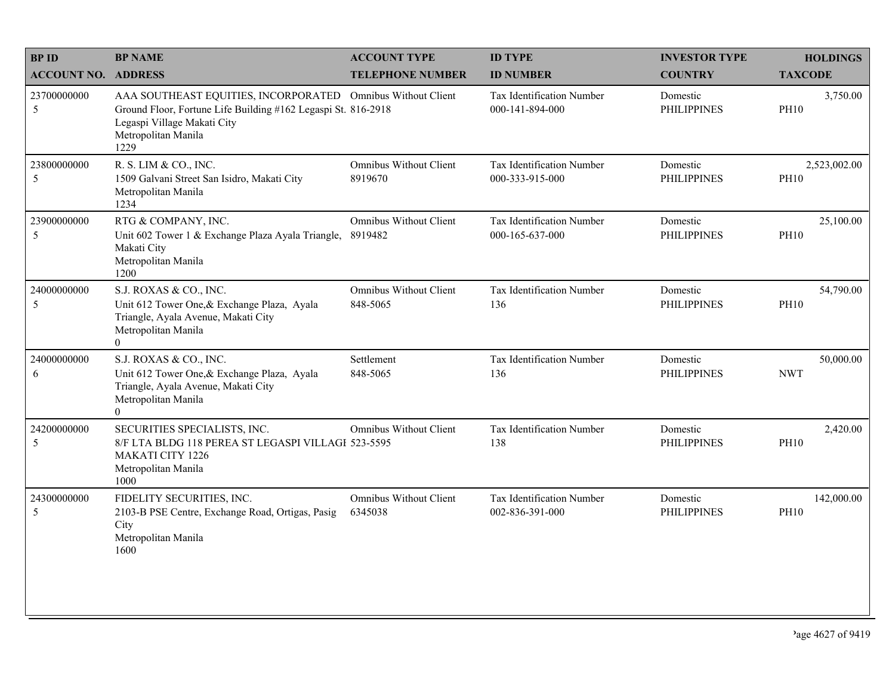| <b>BP NAME</b>                                                                                                                                  | <b>ACCOUNT TYPE</b>                       | <b>ID TYPE</b>                                                                                                                                                                     | <b>INVESTOR TYPE</b>           | <b>HOLDINGS</b>             |
|-------------------------------------------------------------------------------------------------------------------------------------------------|-------------------------------------------|------------------------------------------------------------------------------------------------------------------------------------------------------------------------------------|--------------------------------|-----------------------------|
| <b>ACCOUNT NO. ADDRESS</b>                                                                                                                      | <b>TELEPHONE NUMBER</b>                   | <b>ID NUMBER</b>                                                                                                                                                                   | <b>COUNTRY</b>                 | <b>TAXCODE</b>              |
| Legaspi Village Makati City<br>Metropolitan Manila<br>1229                                                                                      |                                           | <b>Tax Identification Number</b><br>000-141-894-000                                                                                                                                | Domestic<br><b>PHILIPPINES</b> | 3,750.00<br><b>PH10</b>     |
| R. S. LIM & CO., INC.<br>1509 Galvani Street San Isidro, Makati City<br>Metropolitan Manila<br>1234                                             | <b>Omnibus Without Client</b><br>8919670  | Tax Identification Number<br>000-333-915-000                                                                                                                                       | Domestic<br><b>PHILIPPINES</b> | 2,523,002.00<br><b>PH10</b> |
| RTG & COMPANY, INC.<br>Unit 602 Tower 1 & Exchange Plaza Ayala Triangle,<br>Makati City<br>Metropolitan Manila<br>1200                          | <b>Omnibus Without Client</b><br>8919482  | Tax Identification Number<br>000-165-637-000                                                                                                                                       | Domestic<br><b>PHILIPPINES</b> | 25,100.00<br><b>PH10</b>    |
| S.J. ROXAS & CO., INC.<br>Unit 612 Tower One, & Exchange Plaza, Ayala<br>Triangle, Ayala Avenue, Makati City<br>Metropolitan Manila<br>$\Omega$ | <b>Omnibus Without Client</b><br>848-5065 | Tax Identification Number<br>136                                                                                                                                                   | Domestic<br><b>PHILIPPINES</b> | 54,790.00<br><b>PH10</b>    |
| S.J. ROXAS & CO., INC.<br>Unit 612 Tower One, & Exchange Plaza, Ayala<br>Triangle, Ayala Avenue, Makati City<br>Metropolitan Manila<br>$\Omega$ | Settlement<br>848-5065                    | Tax Identification Number<br>136                                                                                                                                                   | Domestic<br><b>PHILIPPINES</b> | 50,000.00<br><b>NWT</b>     |
| SECURITIES SPECIALISTS, INC.<br><b>MAKATI CITY 1226</b><br>Metropolitan Manila<br>1000                                                          | <b>Omnibus Without Client</b>             | Tax Identification Number<br>138                                                                                                                                                   | Domestic<br><b>PHILIPPINES</b> | 2,420.00<br><b>PH10</b>     |
| FIDELITY SECURITIES, INC.<br>2103-B PSE Centre, Exchange Road, Ortigas, Pasig<br>City<br>Metropolitan Manila<br>1600                            | Omnibus Without Client<br>6345038         | Tax Identification Number<br>002-836-391-000                                                                                                                                       | Domestic<br><b>PHILIPPINES</b> | 142,000.00<br><b>PH10</b>   |
|                                                                                                                                                 |                                           | AAA SOUTHEAST EQUITIES, INCORPORATED Omnibus Without Client<br>Ground Floor, Fortune Life Building #162 Legaspi St. 816-2918<br>8/F LTA BLDG 118 PEREA ST LEGASPI VILLAGI 523-5595 |                                |                             |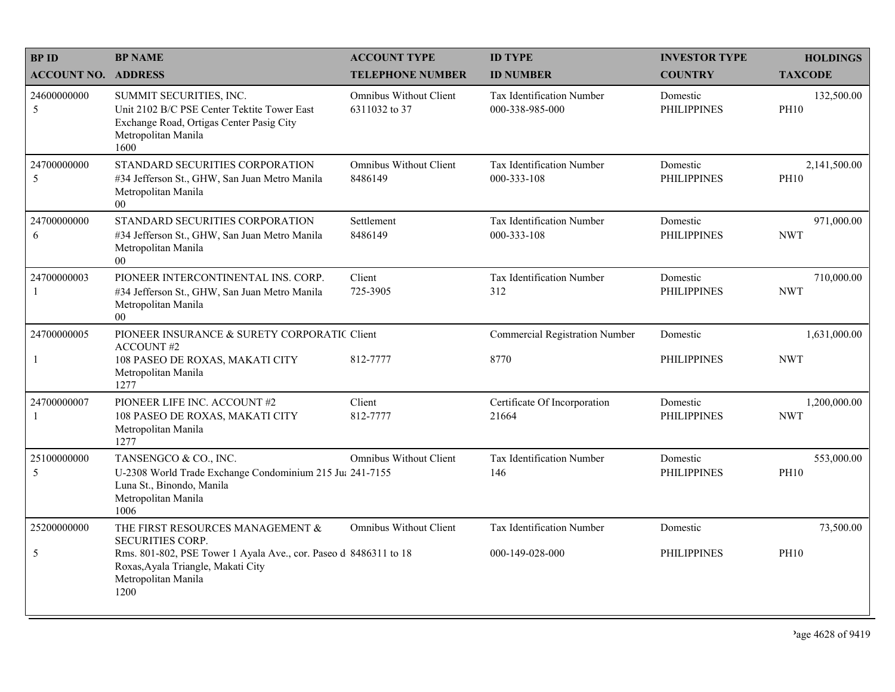| <b>BPID</b>                | <b>BP NAME</b>                                                                                                                                    | <b>ACCOUNT TYPE</b>                            | <b>ID TYPE</b>                                      | <b>INVESTOR TYPE</b>           | <b>HOLDINGS</b>             |
|----------------------------|---------------------------------------------------------------------------------------------------------------------------------------------------|------------------------------------------------|-----------------------------------------------------|--------------------------------|-----------------------------|
| <b>ACCOUNT NO. ADDRESS</b> |                                                                                                                                                   | <b>TELEPHONE NUMBER</b>                        | <b>ID NUMBER</b>                                    | <b>COUNTRY</b>                 | <b>TAXCODE</b>              |
| 24600000000<br>5           | SUMMIT SECURITIES, INC.<br>Unit 2102 B/C PSE Center Tektite Tower East<br>Exchange Road, Ortigas Center Pasig City<br>Metropolitan Manila<br>1600 | <b>Omnibus Without Client</b><br>6311032 to 37 | <b>Tax Identification Number</b><br>000-338-985-000 | Domestic<br><b>PHILIPPINES</b> | 132,500.00<br><b>PH10</b>   |
| 24700000000<br>5           | STANDARD SECURITIES CORPORATION<br>#34 Jefferson St., GHW, San Juan Metro Manila<br>Metropolitan Manila<br>$00\,$                                 | Omnibus Without Client<br>8486149              | Tax Identification Number<br>000-333-108            | Domestic<br><b>PHILIPPINES</b> | 2,141,500.00<br><b>PH10</b> |
| 24700000000<br>6           | STANDARD SECURITIES CORPORATION<br>#34 Jefferson St., GHW, San Juan Metro Manila<br>Metropolitan Manila<br>$00\,$                                 | Settlement<br>8486149                          | Tax Identification Number<br>000-333-108            | Domestic<br><b>PHILIPPINES</b> | 971,000.00<br><b>NWT</b>    |
| 24700000003<br>1           | PIONEER INTERCONTINENTAL INS. CORP.<br>#34 Jefferson St., GHW, San Juan Metro Manila<br>Metropolitan Manila<br>00 <sup>°</sup>                    | Client<br>725-3905                             | Tax Identification Number<br>312                    | Domestic<br><b>PHILIPPINES</b> | 710,000.00<br><b>NWT</b>    |
| 24700000005                | PIONEER INSURANCE & SURETY CORPORATIC Client                                                                                                      |                                                | <b>Commercial Registration Number</b>               | Domestic                       | 1,631,000.00                |
| $\mathbf{1}$               | <b>ACCOUNT#2</b><br>108 PASEO DE ROXAS, MAKATI CITY<br>Metropolitan Manila<br>1277                                                                | 812-7777                                       | 8770                                                | <b>PHILIPPINES</b>             | <b>NWT</b>                  |
| 24700000007<br>-1          | PIONEER LIFE INC. ACCOUNT #2<br>108 PASEO DE ROXAS, MAKATI CITY<br>Metropolitan Manila<br>1277                                                    | Client<br>812-7777                             | Certificate Of Incorporation<br>21664               | Domestic<br><b>PHILIPPINES</b> | 1,200,000.00<br><b>NWT</b>  |
| 25100000000<br>5           | TANSENGCO & CO., INC.<br>U-2308 World Trade Exchange Condominium 215 Jul 241-7155<br>Luna St., Binondo, Manila<br>Metropolitan Manila<br>1006     | <b>Omnibus Without Client</b>                  | Tax Identification Number<br>146                    | Domestic<br><b>PHILIPPINES</b> | 553,000.00<br><b>PH10</b>   |
| 25200000000                | THE FIRST RESOURCES MANAGEMENT &<br><b>SECURITIES CORP.</b>                                                                                       | <b>Omnibus Without Client</b>                  | Tax Identification Number                           | Domestic                       | 73,500.00                   |
| 5                          | Rms. 801-802, PSE Tower 1 Ayala Ave., cor. Paseo d 8486311 to 18<br>Roxas, Ayala Triangle, Makati City<br>Metropolitan Manila<br>1200             |                                                | 000-149-028-000                                     | PHILIPPINES                    | <b>PH10</b>                 |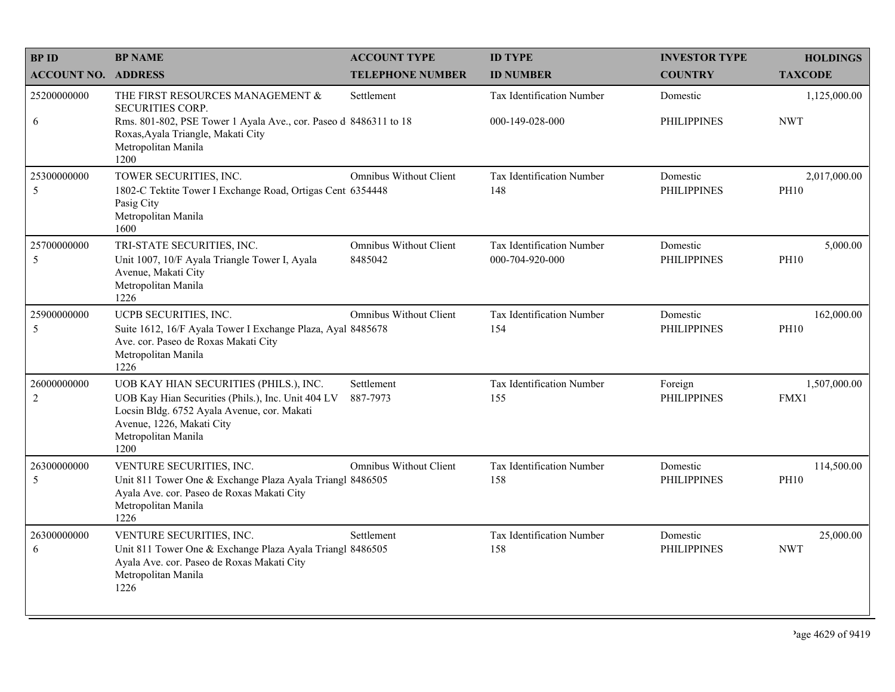| <b>BPID</b>                   | <b>BP NAME</b>                                                                                                                                                                                          | <b>ACCOUNT TYPE</b>                      | <b>ID TYPE</b>                               | <b>INVESTOR TYPE</b>           | <b>HOLDINGS</b>             |
|-------------------------------|---------------------------------------------------------------------------------------------------------------------------------------------------------------------------------------------------------|------------------------------------------|----------------------------------------------|--------------------------------|-----------------------------|
| <b>ACCOUNT NO. ADDRESS</b>    |                                                                                                                                                                                                         | <b>TELEPHONE NUMBER</b>                  | <b>ID NUMBER</b>                             | <b>COUNTRY</b>                 | <b>TAXCODE</b>              |
| 25200000000                   | THE FIRST RESOURCES MANAGEMENT &<br><b>SECURITIES CORP.</b>                                                                                                                                             | Settlement                               | Tax Identification Number                    | Domestic                       | 1,125,000.00                |
| 6                             | Rms. 801-802, PSE Tower 1 Ayala Ave., cor. Paseo d 8486311 to 18<br>Roxas, Ayala Triangle, Makati City<br>Metropolitan Manila<br>1200                                                                   |                                          | 000-149-028-000                              | <b>PHILIPPINES</b>             | <b>NWT</b>                  |
| 25300000000<br>5              | TOWER SECURITIES, INC.<br>1802-C Tektite Tower I Exchange Road, Ortigas Cent 6354448<br>Pasig City<br>Metropolitan Manila<br>1600                                                                       | <b>Omnibus Without Client</b>            | Tax Identification Number<br>148             | Domestic<br><b>PHILIPPINES</b> | 2,017,000.00<br><b>PH10</b> |
| 25700000000<br>5              | TRI-STATE SECURITIES, INC.<br>Unit 1007, 10/F Ayala Triangle Tower I, Ayala<br>Avenue, Makati City<br>Metropolitan Manila<br>1226                                                                       | <b>Omnibus Without Client</b><br>8485042 | Tax Identification Number<br>000-704-920-000 | Domestic<br><b>PHILIPPINES</b> | 5,000.00<br><b>PH10</b>     |
| 25900000000<br>5              | UCPB SECURITIES, INC.<br>Suite 1612, 16/F Ayala Tower I Exchange Plaza, Ayal 8485678<br>Ave. cor. Paseo de Roxas Makati City<br>Metropolitan Manila<br>1226                                             | Omnibus Without Client                   | Tax Identification Number<br>154             | Domestic<br><b>PHILIPPINES</b> | 162,000.00<br><b>PH10</b>   |
| 26000000000<br>$\overline{2}$ | UOB KAY HIAN SECURITIES (PHILS.), INC.<br>UOB Kay Hian Securities (Phils.), Inc. Unit 404 LV<br>Locsin Bldg. 6752 Ayala Avenue, cor. Makati<br>Avenue, 1226, Makati City<br>Metropolitan Manila<br>1200 | Settlement<br>887-7973                   | Tax Identification Number<br>155             | Foreign<br><b>PHILIPPINES</b>  | 1,507,000.00<br>FMX1        |
| 26300000000<br>5              | VENTURE SECURITIES, INC.<br>Unit 811 Tower One & Exchange Plaza Ayala Triangl 8486505<br>Ayala Ave. cor. Paseo de Roxas Makati City<br>Metropolitan Manila<br>1226                                      | <b>Omnibus Without Client</b>            | Tax Identification Number<br>158             | Domestic<br><b>PHILIPPINES</b> | 114,500.00<br><b>PH10</b>   |
| 26300000000<br>6              | VENTURE SECURITIES, INC.<br>Unit 811 Tower One & Exchange Plaza Ayala Triangl 8486505<br>Ayala Ave. cor. Paseo de Roxas Makati City<br>Metropolitan Manila<br>1226                                      | Settlement                               | Tax Identification Number<br>158             | Domestic<br><b>PHILIPPINES</b> | 25,000.00<br><b>NWT</b>     |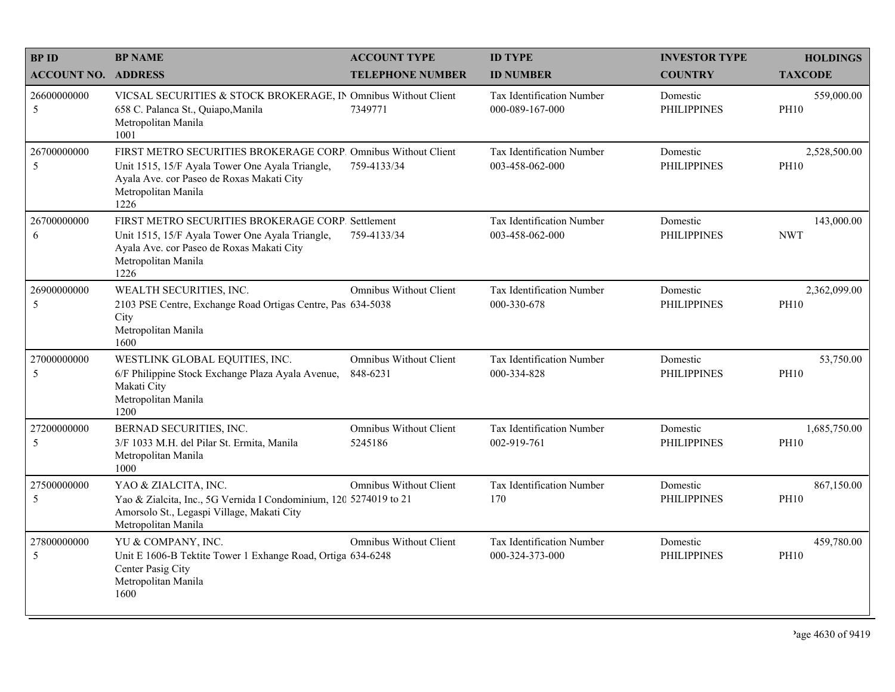| <b>BPID</b>                | <b>BP NAME</b>                                                                                                                                                                               | <b>ACCOUNT TYPE</b>                      | <b>ID TYPE</b>                                      | <b>INVESTOR TYPE</b>           | <b>HOLDINGS</b>             |
|----------------------------|----------------------------------------------------------------------------------------------------------------------------------------------------------------------------------------------|------------------------------------------|-----------------------------------------------------|--------------------------------|-----------------------------|
| <b>ACCOUNT NO. ADDRESS</b> |                                                                                                                                                                                              | <b>TELEPHONE NUMBER</b>                  | <b>ID NUMBER</b>                                    | <b>COUNTRY</b>                 | <b>TAXCODE</b>              |
| 26600000000<br>5           | VICSAL SECURITIES & STOCK BROKERAGE, IN Omnibus Without Client<br>658 C. Palanca St., Quiapo, Manila<br>Metropolitan Manila<br>1001                                                          | 7349771                                  | <b>Tax Identification Number</b><br>000-089-167-000 | Domestic<br><b>PHILIPPINES</b> | 559,000.00<br><b>PH10</b>   |
| 26700000000<br>5           | FIRST METRO SECURITIES BROKERAGE CORP. Omnibus Without Client<br>Unit 1515, 15/F Ayala Tower One Ayala Triangle,<br>Ayala Ave. cor Paseo de Roxas Makati City<br>Metropolitan Manila<br>1226 | 759-4133/34                              | Tax Identification Number<br>003-458-062-000        | Domestic<br><b>PHILIPPINES</b> | 2,528,500.00<br><b>PH10</b> |
| 26700000000<br>6           | FIRST METRO SECURITIES BROKERAGE CORP. Settlement<br>Unit 1515, 15/F Ayala Tower One Ayala Triangle,<br>Ayala Ave. cor Paseo de Roxas Makati City<br>Metropolitan Manila<br>1226             | 759-4133/34                              | <b>Tax Identification Number</b><br>003-458-062-000 | Domestic<br><b>PHILIPPINES</b> | 143,000.00<br><b>NWT</b>    |
| 26900000000<br>5           | WEALTH SECURITIES, INC.<br>2103 PSE Centre, Exchange Road Ortigas Centre, Pas 634-5038<br>City<br>Metropolitan Manila<br>1600                                                                | <b>Omnibus Without Client</b>            | Tax Identification Number<br>000-330-678            | Domestic<br><b>PHILIPPINES</b> | 2,362,099.00<br><b>PH10</b> |
| 27000000000<br>5           | WESTLINK GLOBAL EQUITIES, INC.<br>6/F Philippine Stock Exchange Plaza Ayala Avenue,<br>Makati City<br>Metropolitan Manila<br>1200                                                            | Omnibus Without Client<br>848-6231       | Tax Identification Number<br>000-334-828            | Domestic<br><b>PHILIPPINES</b> | 53,750.00<br><b>PH10</b>    |
| 27200000000<br>5           | BERNAD SECURITIES, INC.<br>3/F 1033 M.H. del Pilar St. Ermita, Manila<br>Metropolitan Manila<br>1000                                                                                         | <b>Omnibus Without Client</b><br>5245186 | Tax Identification Number<br>002-919-761            | Domestic<br><b>PHILIPPINES</b> | 1,685,750.00<br><b>PH10</b> |
| 27500000000<br>5           | YAO & ZIALCITA, INC.<br>Yao & Zialcita, Inc., 5G Vernida I Condominium, 120 5274019 to 21<br>Amorsolo St., Legaspi Village, Makati City<br>Metropolitan Manila                               | <b>Omnibus Without Client</b>            | Tax Identification Number<br>170                    | Domestic<br><b>PHILIPPINES</b> | 867,150.00<br><b>PH10</b>   |
| 27800000000<br>5           | YU & COMPANY, INC.<br>Unit E 1606-B Tektite Tower 1 Exhange Road, Ortiga 634-6248<br>Center Pasig City<br>Metropolitan Manila<br>1600                                                        | <b>Omnibus Without Client</b>            | Tax Identification Number<br>000-324-373-000        | Domestic<br><b>PHILIPPINES</b> | 459,780.00<br><b>PH10</b>   |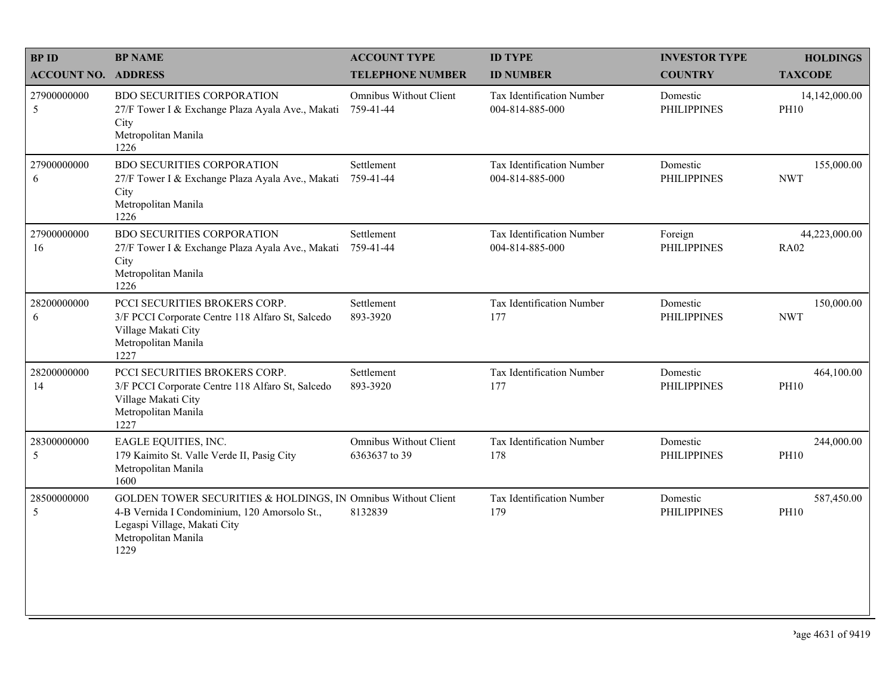| <b>BPID</b>                | <b>BP NAME</b>                                                                                                                                                               | <b>ACCOUNT TYPE</b>                            | <b>ID TYPE</b>                               | <b>INVESTOR TYPE</b>           | <b>HOLDINGS</b>              |
|----------------------------|------------------------------------------------------------------------------------------------------------------------------------------------------------------------------|------------------------------------------------|----------------------------------------------|--------------------------------|------------------------------|
| <b>ACCOUNT NO. ADDRESS</b> |                                                                                                                                                                              | <b>TELEPHONE NUMBER</b>                        | <b>ID NUMBER</b>                             | <b>COUNTRY</b>                 | <b>TAXCODE</b>               |
| 27900000000<br>5           | <b>BDO SECURITIES CORPORATION</b><br>27/F Tower I & Exchange Plaza Ayala Ave., Makati<br>City<br>Metropolitan Manila<br>1226                                                 | Omnibus Without Client<br>759-41-44            | Tax Identification Number<br>004-814-885-000 | Domestic<br><b>PHILIPPINES</b> | 14,142,000.00<br><b>PH10</b> |
| 27900000000<br>6           | <b>BDO SECURITIES CORPORATION</b><br>27/F Tower I & Exchange Plaza Ayala Ave., Makati<br>City<br>Metropolitan Manila<br>1226                                                 | Settlement<br>759-41-44                        | Tax Identification Number<br>004-814-885-000 | Domestic<br><b>PHILIPPINES</b> | 155,000.00<br><b>NWT</b>     |
| 27900000000<br>16          | <b>BDO SECURITIES CORPORATION</b><br>27/F Tower I & Exchange Plaza Ayala Ave., Makati<br>City<br>Metropolitan Manila<br>1226                                                 | Settlement<br>759-41-44                        | Tax Identification Number<br>004-814-885-000 | Foreign<br><b>PHILIPPINES</b>  | 44,223,000.00<br><b>RA02</b> |
| 28200000000<br>6           | PCCI SECURITIES BROKERS CORP.<br>3/F PCCI Corporate Centre 118 Alfaro St, Salcedo<br>Village Makati City<br>Metropolitan Manila<br>1227                                      | Settlement<br>893-3920                         | Tax Identification Number<br>177             | Domestic<br><b>PHILIPPINES</b> | 150,000.00<br><b>NWT</b>     |
| 28200000000<br>14          | PCCI SECURITIES BROKERS CORP.<br>3/F PCCI Corporate Centre 118 Alfaro St, Salcedo<br>Village Makati City<br>Metropolitan Manila<br>1227                                      | Settlement<br>893-3920                         | Tax Identification Number<br>177             | Domestic<br><b>PHILIPPINES</b> | 464,100.00<br><b>PH10</b>    |
| 28300000000<br>5           | EAGLE EQUITIES, INC.<br>179 Kaimito St. Valle Verde II, Pasig City<br>Metropolitan Manila<br>1600                                                                            | <b>Omnibus Without Client</b><br>6363637 to 39 | Tax Identification Number<br>178             | Domestic<br><b>PHILIPPINES</b> | 244,000.00<br><b>PH10</b>    |
| 28500000000<br>5           | GOLDEN TOWER SECURITIES & HOLDINGS, IN Omnibus Without Client<br>4-B Vernida I Condominium, 120 Amorsolo St.,<br>Legaspi Village, Makati City<br>Metropolitan Manila<br>1229 | 8132839                                        | Tax Identification Number<br>179             | Domestic<br>PHILIPPINES        | 587,450.00<br><b>PH10</b>    |
|                            |                                                                                                                                                                              |                                                |                                              |                                |                              |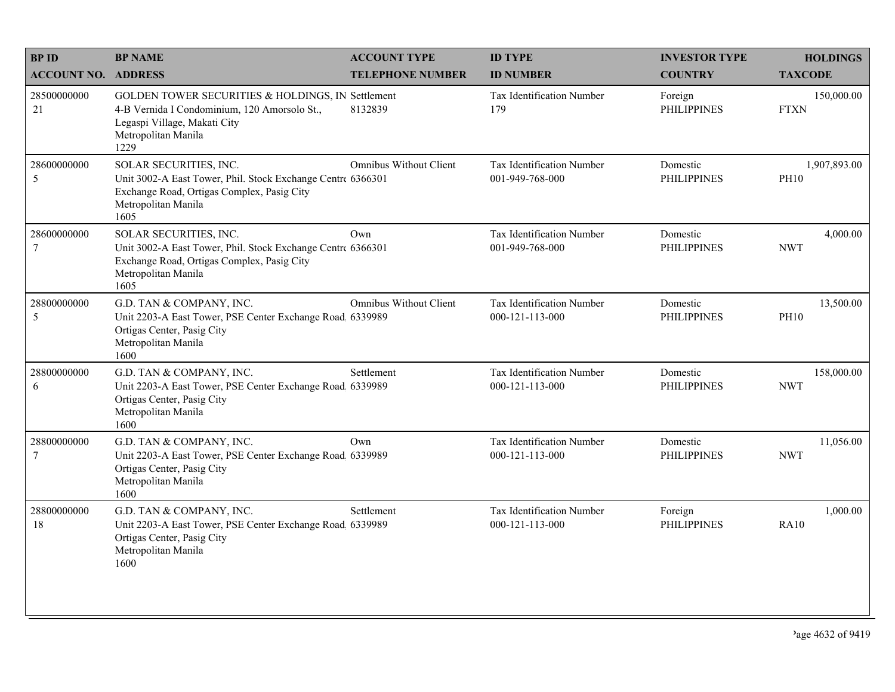| <b>BPID</b>                   | <b>BP NAME</b>                                                                                                                                                     | <b>ACCOUNT TYPE</b>           | <b>ID TYPE</b>                                       | <b>INVESTOR TYPE</b>           | <b>HOLDINGS</b>             |
|-------------------------------|--------------------------------------------------------------------------------------------------------------------------------------------------------------------|-------------------------------|------------------------------------------------------|--------------------------------|-----------------------------|
| <b>ACCOUNT NO. ADDRESS</b>    |                                                                                                                                                                    | <b>TELEPHONE NUMBER</b>       | <b>ID NUMBER</b>                                     | <b>COUNTRY</b>                 | <b>TAXCODE</b>              |
| 28500000000<br>21             | GOLDEN TOWER SECURITIES & HOLDINGS, IN Settlement<br>4-B Vernida I Condominium, 120 Amorsolo St.,<br>Legaspi Village, Makati City<br>Metropolitan Manila<br>1229   | 8132839                       | Tax Identification Number<br>179                     | Foreign<br><b>PHILIPPINES</b>  | 150,000.00<br><b>FTXN</b>   |
| 28600000000<br>5              | SOLAR SECURITIES, INC.<br>Unit 3002-A East Tower, Phil. Stock Exchange Centre 6366301<br>Exchange Road, Ortigas Complex, Pasig City<br>Metropolitan Manila<br>1605 | <b>Omnibus Without Client</b> | Tax Identification Number<br>001-949-768-000         | Domestic<br><b>PHILIPPINES</b> | 1,907,893.00<br><b>PH10</b> |
| 28600000000<br>$\overline{7}$ | SOLAR SECURITIES, INC.<br>Unit 3002-A East Tower, Phil. Stock Exchange Centre 6366301<br>Exchange Road, Ortigas Complex, Pasig City<br>Metropolitan Manila<br>1605 | Own                           | Tax Identification Number<br>001-949-768-000         | Domestic<br><b>PHILIPPINES</b> | 4,000.00<br><b>NWT</b>      |
| 28800000000<br>5              | G.D. TAN & COMPANY, INC.<br>Unit 2203-A East Tower, PSE Center Exchange Road. 6339989<br>Ortigas Center, Pasig City<br>Metropolitan Manila<br>1600                 | <b>Omnibus Without Client</b> | Tax Identification Number<br>$000 - 121 - 113 - 000$ | Domestic<br><b>PHILIPPINES</b> | 13,500.00<br><b>PH10</b>    |
| 28800000000<br>6              | G.D. TAN & COMPANY, INC.<br>Unit 2203-A East Tower, PSE Center Exchange Road, 6339989<br>Ortigas Center, Pasig City<br>Metropolitan Manila<br>1600                 | Settlement                    | Tax Identification Number<br>000-121-113-000         | Domestic<br><b>PHILIPPINES</b> | 158,000.00<br><b>NWT</b>    |
| 28800000000<br>$\overline{7}$ | G.D. TAN & COMPANY, INC.<br>Unit 2203-A East Tower, PSE Center Exchange Road. 6339989<br>Ortigas Center, Pasig City<br>Metropolitan Manila<br>1600                 | Own                           | Tax Identification Number<br>000-121-113-000         | Domestic<br><b>PHILIPPINES</b> | 11,056.00<br><b>NWT</b>     |
| 28800000000<br>18             | G.D. TAN & COMPANY, INC.<br>Unit 2203-A East Tower, PSE Center Exchange Road 6339989<br>Ortigas Center, Pasig City<br>Metropolitan Manila<br>1600                  | Settlement                    | <b>Tax Identification Number</b><br>000-121-113-000  | Foreign<br><b>PHILIPPINES</b>  | 1,000.00<br><b>RA10</b>     |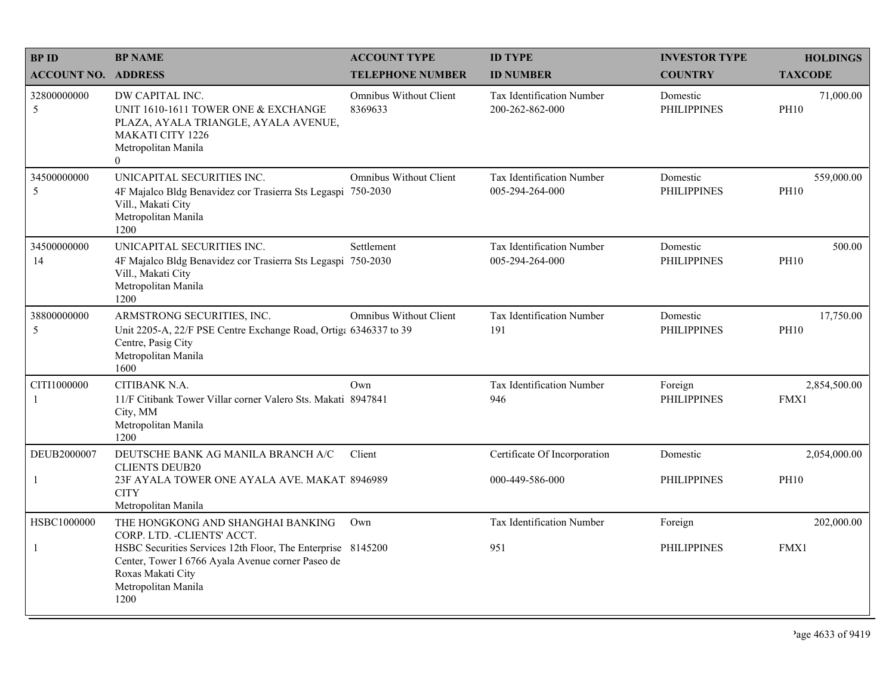| <b>BPID</b>                | <b>BP NAME</b>                                                                                                                                                       | <b>ACCOUNT TYPE</b>               | <b>ID TYPE</b>                                      | <b>INVESTOR TYPE</b>           | <b>HOLDINGS</b>           |
|----------------------------|----------------------------------------------------------------------------------------------------------------------------------------------------------------------|-----------------------------------|-----------------------------------------------------|--------------------------------|---------------------------|
| <b>ACCOUNT NO. ADDRESS</b> |                                                                                                                                                                      | <b>TELEPHONE NUMBER</b>           | <b>ID NUMBER</b>                                    | <b>COUNTRY</b>                 | <b>TAXCODE</b>            |
| 32800000000<br>5           | DW CAPITAL INC.<br>UNIT 1610-1611 TOWER ONE & EXCHANGE<br>PLAZA, AYALA TRIANGLE, AYALA AVENUE,<br><b>MAKATI CITY 1226</b><br>Metropolitan Manila<br>$\Omega$         | Omnibus Without Client<br>8369633 | <b>Tax Identification Number</b><br>200-262-862-000 | Domestic<br><b>PHILIPPINES</b> | 71,000.00<br><b>PH10</b>  |
| 34500000000<br>5           | UNICAPITAL SECURITIES INC.<br>4F Majalco Bldg Benavidez cor Trasierra Sts Legaspi 750-2030<br>Vill., Makati City<br>Metropolitan Manila<br>1200                      | Omnibus Without Client            | Tax Identification Number<br>005-294-264-000        | Domestic<br><b>PHILIPPINES</b> | 559,000.00<br><b>PH10</b> |
| 34500000000<br>14          | UNICAPITAL SECURITIES INC.<br>4F Majalco Bldg Benavidez cor Trasierra Sts Legaspi 750-2030<br>Vill., Makati City<br>Metropolitan Manila<br>1200                      | Settlement                        | <b>Tax Identification Number</b><br>005-294-264-000 | Domestic<br><b>PHILIPPINES</b> | 500.00<br><b>PH10</b>     |
| 38800000000<br>5           | ARMSTRONG SECURITIES, INC.<br>Unit 2205-A, 22/F PSE Centre Exchange Road, Ortiga 6346337 to 39<br>Centre, Pasig City<br>Metropolitan Manila<br>1600                  | <b>Omnibus Without Client</b>     | Tax Identification Number<br>191                    | Domestic<br><b>PHILIPPINES</b> | 17,750.00<br><b>PH10</b>  |
| CITI1000000<br>-1          | CITIBANK N.A.<br>11/F Citibank Tower Villar corner Valero Sts. Makati 8947841<br>City, MM<br>Metropolitan Manila<br>1200                                             | Own                               | Tax Identification Number<br>946                    | Foreign<br><b>PHILIPPINES</b>  | 2,854,500.00<br>FMX1      |
| DEUB2000007                | DEUTSCHE BANK AG MANILA BRANCH A/C                                                                                                                                   | Client                            | Certificate Of Incorporation                        | Domestic                       | 2,054,000.00              |
| -1                         | <b>CLIENTS DEUB20</b><br>23F AYALA TOWER ONE AYALA AVE. MAKAT. 8946989<br><b>CITY</b><br>Metropolitan Manila                                                         |                                   | 000-449-586-000                                     | PHILIPPINES                    | <b>PH10</b>               |
| HSBC1000000                | THE HONGKONG AND SHANGHAI BANKING<br>CORP. LTD. - CLIENTS' ACCT.                                                                                                     | Own                               | <b>Tax Identification Number</b>                    | Foreign                        | 202,000.00                |
| -1                         | HSBC Securities Services 12th Floor, The Enterprise 8145200<br>Center, Tower I 6766 Ayala Avenue corner Paseo de<br>Roxas Makati City<br>Metropolitan Manila<br>1200 |                                   | 951                                                 | <b>PHILIPPINES</b>             | FMX1                      |